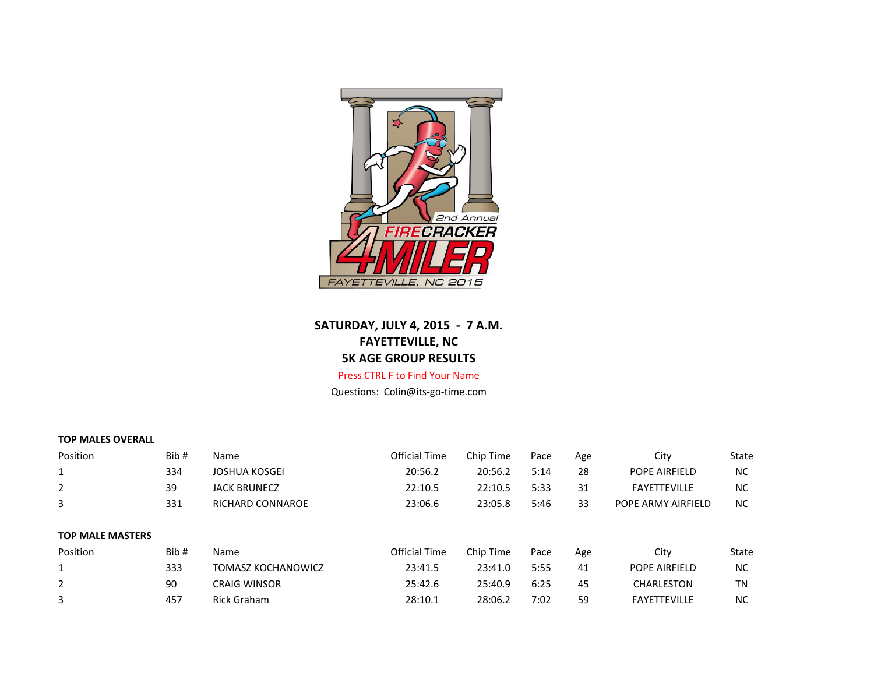

# **SATURDAY, JULY 4, 2015 - 7 A.M. FAYETTEVILLE, NC 5K AGE GROUP RESULTS**

# Press CTRL F to Find Your Name

Questions: Colin@its-go-time.com

# **TOP MALES OVERALL**

| Position                | Bib# | <b>Name</b>               | Official Time | Chip Time | Pace | Age | City                | State     |
|-------------------------|------|---------------------------|---------------|-----------|------|-----|---------------------|-----------|
| 1                       | 334  | <b>JOSHUA KOSGEI</b>      | 20:56.2       | 20:56.2   | 5:14 | 28  | POPE AIRFIELD       | <b>NC</b> |
| 2                       | 39   | <b>JACK BRUNECZ</b>       | 22:10.5       | 22:10.5   | 5:33 | 31  | <b>FAYETTEVILLE</b> | <b>NC</b> |
| 3                       | 331  | RICHARD CONNAROE          | 23:06.6       | 23:05.8   | 5:46 | 33  | POPE ARMY AIRFIELD  | NC.       |
| <b>TOP MALE MASTERS</b> |      |                           |               |           |      |     |                     |           |
| Position                | Bib# | Name                      | Official Time | Chip Time | Pace | Age | City                | State     |
|                         | 333  | <b>TOMASZ KOCHANOWICZ</b> | 23:41.5       | 23:41.0   | 5:55 | 41  | POPE AIRFIELD       | <b>NC</b> |
| 2                       | 90   | <b>CRAIG WINSOR</b>       | 25:42.6       | 25:40.9   | 6:25 | 45  | CHARLESTON          | ΤN        |
| 3                       | 457  | Rick Graham               | 28:10.1       | 28:06.2   | 7:02 | 59  | <b>FAYETTEVILLE</b> | <b>NC</b> |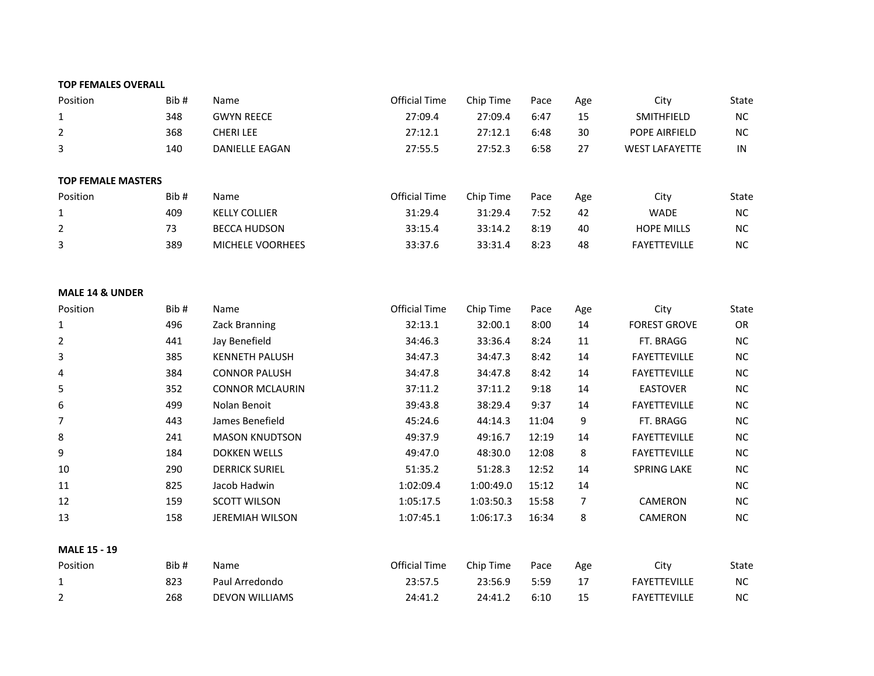#### **TOP FEMALES OVERALL**

| Position                   | Bib# | Name                   | <b>Official Time</b> | Chip Time | Pace  | Age | City                  | State     |
|----------------------------|------|------------------------|----------------------|-----------|-------|-----|-----------------------|-----------|
| 1                          | 348  | <b>GWYN REECE</b>      | 27:09.4              | 27:09.4   | 6:47  | 15  | SMITHFIELD            | <b>NC</b> |
| 2                          | 368  | <b>CHERILEE</b>        | 27:12.1              | 27:12.1   | 6:48  | 30  | POPE AIRFIELD         | NC        |
| 3                          | 140  | DANIELLE EAGAN         | 27:55.5              | 27:52.3   | 6:58  | 27  | <b>WEST LAFAYETTE</b> | IN        |
| <b>TOP FEMALE MASTERS</b>  |      |                        |                      |           |       |     |                       |           |
| Position                   | Bib# | Name                   | <b>Official Time</b> | Chip Time | Pace  | Age | City                  | State     |
| $\mathbf{1}$               | 409  | <b>KELLY COLLIER</b>   | 31:29.4              | 31:29.4   | 7:52  | 42  | <b>WADE</b>           | <b>NC</b> |
| 2                          | 73   | <b>BECCA HUDSON</b>    | 33:15.4              | 33:14.2   | 8:19  | 40  | <b>HOPE MILLS</b>     | <b>NC</b> |
| 3                          | 389  | MICHELE VOORHEES       | 33:37.6              | 33:31.4   | 8:23  | 48  | <b>FAYETTEVILLE</b>   | <b>NC</b> |
| <b>MALE 14 &amp; UNDER</b> |      |                        |                      |           |       |     |                       |           |
| Position                   | Bib# | Name                   | <b>Official Time</b> | Chip Time | Pace  | Age | City                  | State     |
| 1                          | 496  | Zack Branning          | 32:13.1              | 32:00.1   | 8:00  | 14  | <b>FOREST GROVE</b>   | OR        |
| 2                          | 441  | Jay Benefield          | 34:46.3              | 33:36.4   | 8:24  | 11  | FT. BRAGG             | <b>NC</b> |
| 3                          | 385  | <b>KENNETH PALUSH</b>  | 34:47.3              | 34:47.3   | 8:42  | 14  | <b>FAYETTEVILLE</b>   | <b>NC</b> |
| 4                          | 384  | <b>CONNOR PALUSH</b>   | 34:47.8              | 34:47.8   | 8:42  | 14  | <b>FAYETTEVILLE</b>   | <b>NC</b> |
| 5                          | 352  | <b>CONNOR MCLAURIN</b> | 37:11.2              | 37:11.2   | 9:18  | 14  | <b>EASTOVER</b>       | <b>NC</b> |
| 6                          | 499  | Nolan Benoit           | 39:43.8              | 38:29.4   | 9:37  | 14  | <b>FAYETTEVILLE</b>   | NC        |
| 7                          | 443  | James Benefield        | 45:24.6              | 44:14.3   | 11:04 | 9   | FT. BRAGG             | NC        |

**MALE 15 - 19**

| Position | Bib# | <b>Name</b>           | Official Time | Chip Time | Pace | Age | City                | State     |
|----------|------|-----------------------|---------------|-----------|------|-----|---------------------|-----------|
|          | 823  | Paul Arredondo        | 23:57.5       | 23:56.9   | 5:59 |     | <b>FAYETTEVILLE</b> | <b>NC</b> |
| ∍        | 268  | <b>DEVON WILLIAMS</b> | 24:41.2       | 24:41.2   | 6:10 |     | <b>FAYETTEVILLE</b> | <b>NC</b> |

 241 MASON KNUDTSON 49:37.9 49:16.7 12:19 14 FAYETTEVILLE NC 184 DOKKEN WELLS 49:47.0 48:30.0 12:08 8 FAYETTEVILLE NC 290 DERRICK SURIEL 51:35.2 51:28.3 12:52 14 SPRING LAKE NC 825 Jacob Hadwin 1:02:09.4 1:00:49.0 15:12 14 NC 159 SCOTT WILSON 1:05:17.5 1:03:50.3 15:58 7 CAMERON NC 158 JEREMIAH WILSON 1:07:45.1 1:06:17.3 16:34 8 CAMERON NC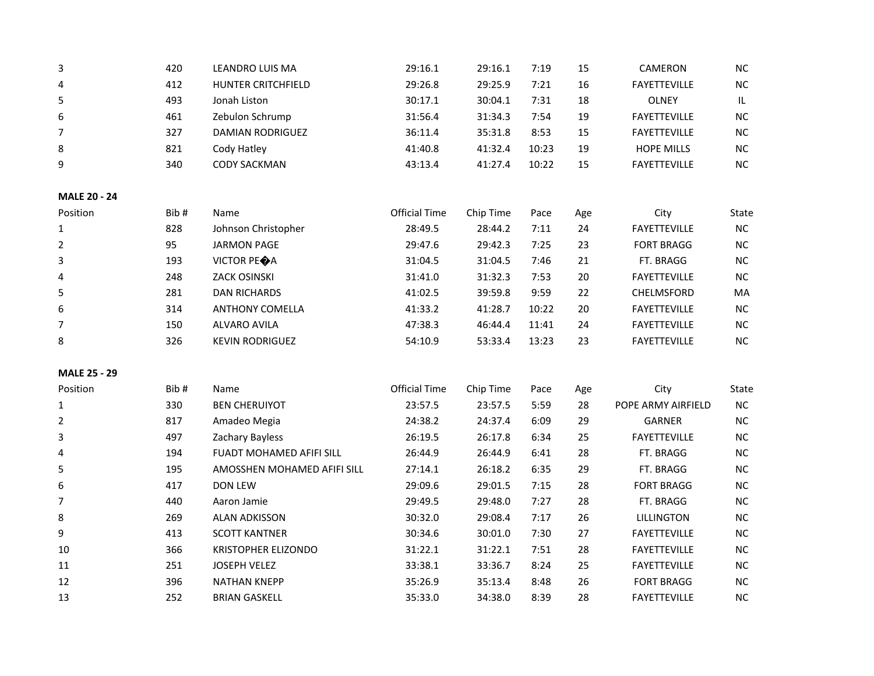| 3                   | 420  | LEANDRO LUIS MA             | 29:16.1              | 29:16.1   | 7:19  | 15  | CAMERON             | $NC$      |
|---------------------|------|-----------------------------|----------------------|-----------|-------|-----|---------------------|-----------|
| $\pmb{4}$           | 412  | <b>HUNTER CRITCHFIELD</b>   | 29:26.8              | 29:25.9   | 7:21  | 16  | <b>FAYETTEVILLE</b> | $NC$      |
| $\sqrt{5}$          | 493  | Jonah Liston                | 30:17.1              | 30:04.1   | 7:31  | 18  | <b>OLNEY</b>        | IL.       |
| 6                   | 461  | Zebulon Schrump             | 31:56.4              | 31:34.3   | 7:54  | 19  | <b>FAYETTEVILLE</b> | NC        |
| 7                   | 327  | <b>DAMIAN RODRIGUEZ</b>     | 36:11.4              | 35:31.8   | 8:53  | 15  | <b>FAYETTEVILLE</b> | NC        |
| 8                   | 821  | Cody Hatley                 | 41:40.8              | 41:32.4   | 10:23 | 19  | <b>HOPE MILLS</b>   | NC        |
| 9                   | 340  | <b>CODY SACKMAN</b>         | 43:13.4              | 41:27.4   | 10:22 | 15  | FAYETTEVILLE        | $NC$      |
| <b>MALE 20 - 24</b> |      |                             |                      |           |       |     |                     |           |
| Position            | Bib# | Name                        | <b>Official Time</b> | Chip Time | Pace  | Age | City                | State     |
| 1                   | 828  | Johnson Christopher         | 28:49.5              | 28:44.2   | 7:11  | 24  | <b>FAYETTEVILLE</b> | NC        |
| $\overline{2}$      | 95   | <b>JARMON PAGE</b>          | 29:47.6              | 29:42.3   | 7:25  | 23  | <b>FORT BRAGG</b>   | NC        |
| 3                   | 193  | VICTOR PEOA                 | 31:04.5              | 31:04.5   | 7:46  | 21  | FT. BRAGG           | $NC$      |
| 4                   | 248  | <b>ZACK OSINSKI</b>         | 31:41.0              | 31:32.3   | 7:53  | 20  | FAYETTEVILLE        | NC        |
| 5                   | 281  | <b>DAN RICHARDS</b>         | 41:02.5              | 39:59.8   | 9:59  | 22  | CHELMSFORD          | MA        |
| $\boldsymbol{6}$    | 314  | <b>ANTHONY COMELLA</b>      | 41:33.2              | 41:28.7   | 10:22 | 20  | FAYETTEVILLE        | NC        |
| $\overline{7}$      | 150  | <b>ALVARO AVILA</b>         | 47:38.3              | 46:44.4   | 11:41 | 24  | <b>FAYETTEVILLE</b> | NC        |
| 8                   | 326  | <b>KEVIN RODRIGUEZ</b>      | 54:10.9              | 53:33.4   | 13:23 | 23  | FAYETTEVILLE        | <b>NC</b> |
| <b>MALE 25 - 29</b> |      |                             |                      |           |       |     |                     |           |
| Position            | Bib# | Name                        | <b>Official Time</b> | Chip Time | Pace  | Age | City                | State     |
| $\mathbf{1}$        | 330  | <b>BEN CHERUIYOT</b>        | 23:57.5              | 23:57.5   | 5:59  | 28  | POPE ARMY AIRFIELD  | NC        |
| 2                   | 817  | Amadeo Megia                | 24:38.2              | 24:37.4   | 6:09  | 29  | <b>GARNER</b>       | NC        |
| 3                   | 497  | Zachary Bayless             | 26:19.5              | 26:17.8   | 6:34  | 25  | FAYETTEVILLE        | NC        |
| 4                   | 194  | FUADT MOHAMED AFIFI SILL    | 26:44.9              | 26:44.9   | 6:41  | 28  | FT. BRAGG           | $NC$      |
| 5                   | 195  | AMOSSHEN MOHAMED AFIFI SILL | 27:14.1              | 26:18.2   | 6:35  | 29  | FT. BRAGG           | NC        |
| 6                   | 417  | <b>DON LEW</b>              | 29:09.6              | 29:01.5   | 7:15  | 28  | <b>FORT BRAGG</b>   | NC        |
| $\overline{7}$      | 440  | Aaron Jamie                 | 29:49.5              | 29:48.0   | 7:27  | 28  | FT. BRAGG           | NC        |
| 8                   | 269  | <b>ALAN ADKISSON</b>        | 30:32.0              | 29:08.4   | 7:17  | 26  | <b>LILLINGTON</b>   | NC        |
| 9                   | 413  | <b>SCOTT KANTNER</b>        | 30:34.6              | 30:01.0   | 7:30  | 27  | FAYETTEVILLE        | <b>NC</b> |
| 10                  | 366  | KRISTOPHER ELIZONDO         | 31:22.1              | 31:22.1   | 7:51  | 28  | FAYETTEVILLE        | $NC$      |
| 11                  | 251  | JOSEPH VELEZ                | 33:38.1              | 33:36.7   | 8:24  | 25  | FAYETTEVILLE        | $NC$      |
| 12                  | 396  | <b>NATHAN KNEPP</b>         | 35:26.9              | 35:13.4   | 8:48  | 26  | <b>FORT BRAGG</b>   | NC        |
| 13                  | 252  | <b>BRIAN GASKELL</b>        | 35:33.0              | 34:38.0   | 8:39  | 28  | FAYETTEVILLE        | NC        |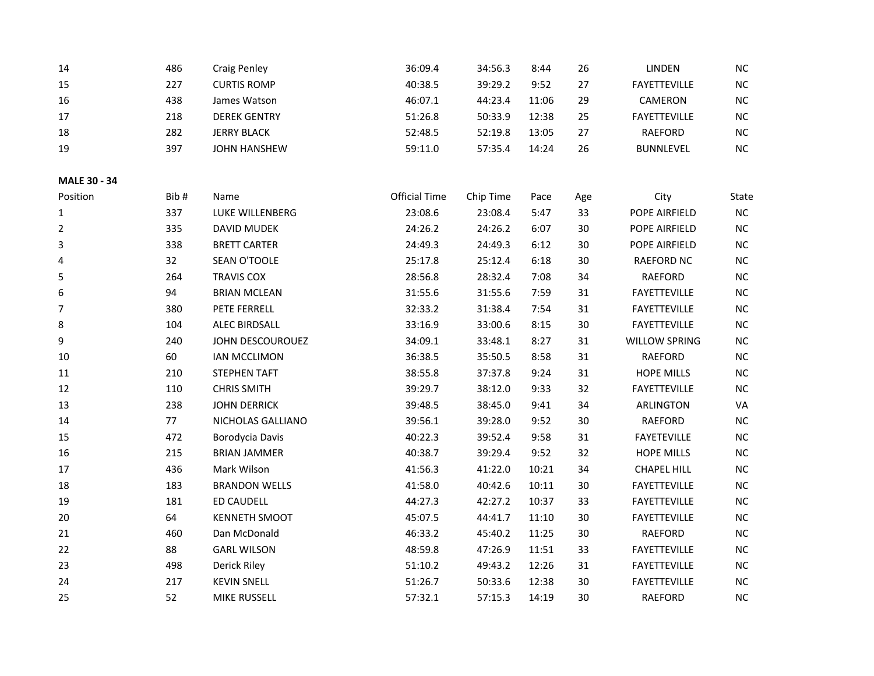| 14             | 486  | <b>Craig Penley</b>    | 36:09.4              | 34:56.3   | 8:44  | 26  | LINDEN               | <b>NC</b> |
|----------------|------|------------------------|----------------------|-----------|-------|-----|----------------------|-----------|
| 15             | 227  | <b>CURTIS ROMP</b>     | 40:38.5              | 39:29.2   | 9:52  | 27  | FAYETTEVILLE         | $NC$      |
| 16             | 438  | James Watson           | 46:07.1              | 44:23.4   | 11:06 | 29  | CAMERON              | $\sf NC$  |
| 17             | 218  | <b>DEREK GENTRY</b>    | 51:26.8              | 50:33.9   | 12:38 | 25  | FAYETTEVILLE         | $NC$      |
| 18             | 282  | <b>JERRY BLACK</b>     | 52:48.5              | 52:19.8   | 13:05 | 27  | RAEFORD              | $NC$      |
| 19             | 397  | <b>JOHN HANSHEW</b>    | 59:11.0              | 57:35.4   | 14:24 | 26  | <b>BUNNLEVEL</b>     | NC        |
| MALE 30 - 34   |      |                        |                      |           |       |     |                      |           |
| Position       | Bib# | Name                   | <b>Official Time</b> | Chip Time | Pace  | Age | City                 | State     |
| $\mathbf{1}$   | 337  | LUKE WILLENBERG        | 23:08.6              | 23:08.4   | 5:47  | 33  | POPE AIRFIELD        | $\sf NC$  |
| $\overline{2}$ | 335  | DAVID MUDEK            | 24:26.2              | 24:26.2   | 6:07  | 30  | POPE AIRFIELD        | $NC$      |
| 3              | 338  | <b>BRETT CARTER</b>    | 24:49.3              | 24:49.3   | 6:12  | 30  | POPE AIRFIELD        | $NC$      |
| 4              | 32   | SEAN O'TOOLE           | 25:17.8              | 25:12.4   | 6:18  | 30  | <b>RAEFORD NC</b>    | $NC$      |
| 5              | 264  | <b>TRAVIS COX</b>      | 28:56.8              | 28:32.4   | 7:08  | 34  | <b>RAEFORD</b>       | $NC$      |
| 6              | 94   | <b>BRIAN MCLEAN</b>    | 31:55.6              | 31:55.6   | 7:59  | 31  | FAYETTEVILLE         | $NC$      |
| $\overline{7}$ | 380  | PETE FERRELL           | 32:33.2              | 31:38.4   | 7:54  | 31  | FAYETTEVILLE         | NC        |
| 8              | 104  | ALEC BIRDSALL          | 33:16.9              | 33:00.6   | 8:15  | 30  | FAYETTEVILLE         | $NC$      |
| 9              | 240  | JOHN DESCOUROUEZ       | 34:09.1              | 33:48.1   | 8:27  | 31  | <b>WILLOW SPRING</b> | $NC$      |
| 10             | 60   | <b>IAN MCCLIMON</b>    | 36:38.5              | 35:50.5   | 8:58  | 31  | <b>RAEFORD</b>       | $\sf NC$  |
| 11             | 210  | <b>STEPHEN TAFT</b>    | 38:55.8              | 37:37.8   | 9:24  | 31  | <b>HOPE MILLS</b>    | $NC$      |
| 12             | 110  | <b>CHRIS SMITH</b>     | 39:29.7              | 38:12.0   | 9:33  | 32  | FAYETTEVILLE         | NC        |
| 13             | 238  | <b>JOHN DERRICK</b>    | 39:48.5              | 38:45.0   | 9:41  | 34  | <b>ARLINGTON</b>     | VA        |
| 14             | 77   | NICHOLAS GALLIANO      | 39:56.1              | 39:28.0   | 9:52  | 30  | RAEFORD              | $NC$      |
| 15             | 472  | <b>Borodycia Davis</b> | 40:22.3              | 39:52.4   | 9:58  | 31  | <b>FAYETEVILLE</b>   | $\sf NC$  |
| 16             | 215  | <b>BRIAN JAMMER</b>    | 40:38.7              | 39:29.4   | 9:52  | 32  | <b>HOPE MILLS</b>    | NC        |
| 17             | 436  | Mark Wilson            | 41:56.3              | 41:22.0   | 10:21 | 34  | <b>CHAPEL HILL</b>   | NC        |
| 18             | 183  | <b>BRANDON WELLS</b>   | 41:58.0              | 40:42.6   | 10:11 | 30  | FAYETTEVILLE         | $NC$      |
| 19             | 181  | <b>ED CAUDELL</b>      | 44:27.3              | 42:27.2   | 10:37 | 33  | <b>FAYETTEVILLE</b>  | $\sf NC$  |
| 20             | 64   | <b>KENNETH SMOOT</b>   | 45:07.5              | 44:41.7   | 11:10 | 30  | FAYETTEVILLE         | NC        |
| 21             | 460  | Dan McDonald           | 46:33.2              | 45:40.2   | 11:25 | 30  | <b>RAEFORD</b>       | $NC$      |
| 22             | 88   | <b>GARL WILSON</b>     | 48:59.8              | 47:26.9   | 11:51 | 33  | FAYETTEVILLE         | $NC$      |
| 23             | 498  | Derick Riley           | 51:10.2              | 49:43.2   | 12:26 | 31  | FAYETTEVILLE         | $NC$      |
| 24             | 217  | <b>KEVIN SNELL</b>     | 51:26.7              | 50:33.6   | 12:38 | 30  | FAYETTEVILLE         | NC        |
| 25             | 52   | MIKE RUSSELL           | 57:32.1              | 57:15.3   | 14:19 | 30  | <b>RAEFORD</b>       | NC        |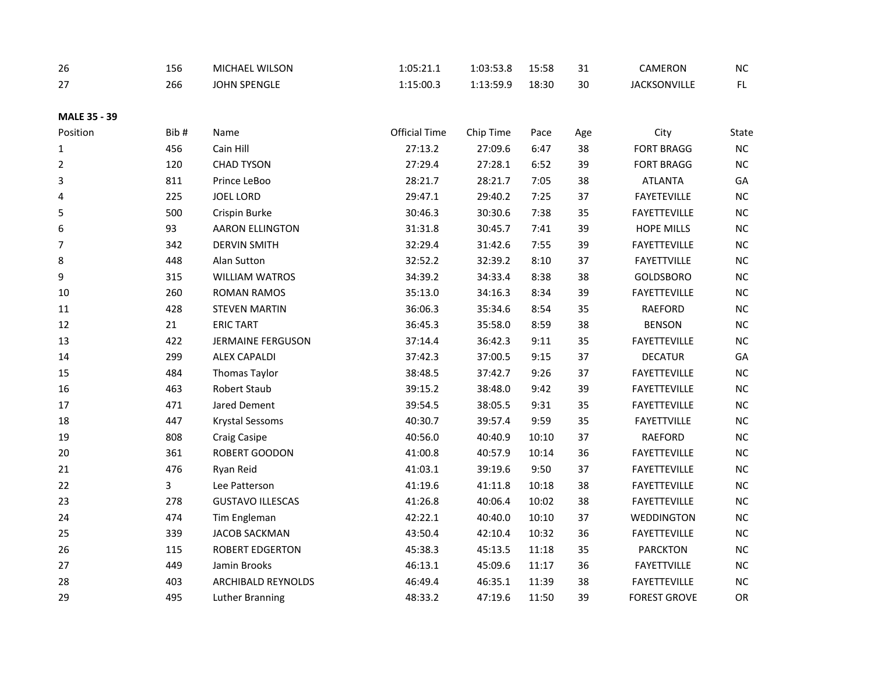| 26                   | 156 | <b>MICHAEL WILSON</b> | 1:05:21.1 | 1:03:53.8 | 15:58 | ົ | CAMERON             | <b>NC</b> |
|----------------------|-----|-----------------------|-----------|-----------|-------|---|---------------------|-----------|
| $\sim$<br>$\epsilon$ | 266 | <b>JOHN SPENGLE</b>   | 1:15:00.3 | 1:13:59.9 | 18:30 |   | <b>JACKSONVILLE</b> |           |

## **MALE 35 - 39**

| Position       | Bib# | Name                      | <b>Official Time</b> | Chip Time | Pace  | Age | City                | State    |
|----------------|------|---------------------------|----------------------|-----------|-------|-----|---------------------|----------|
| 1              | 456  | Cain Hill                 | 27:13.2              | 27:09.6   | 6:47  | 38  | <b>FORT BRAGG</b>   | NC       |
| $\overline{2}$ | 120  | <b>CHAD TYSON</b>         | 27:29.4              | 27:28.1   | 6:52  | 39  | <b>FORT BRAGG</b>   | $NC$     |
| 3              | 811  | Prince LeBoo              | 28:21.7              | 28:21.7   | 7:05  | 38  | <b>ATLANTA</b>      | GA       |
| 4              | 225  | <b>JOEL LORD</b>          | 29:47.1              | 29:40.2   | 7:25  | 37  | <b>FAYETEVILLE</b>  | NC       |
| 5              | 500  | Crispin Burke             | 30:46.3              | 30:30.6   | 7:38  | 35  | <b>FAYETTEVILLE</b> | $\sf NC$ |
| 6              | 93   | <b>AARON ELLINGTON</b>    | 31:31.8              | 30:45.7   | 7:41  | 39  | <b>HOPE MILLS</b>   | $NC$     |
| 7              | 342  | <b>DERVIN SMITH</b>       | 32:29.4              | 31:42.6   | 7:55  | 39  | <b>FAYETTEVILLE</b> | NC       |
| 8              | 448  | Alan Sutton               | 32:52.2              | 32:39.2   | 8:10  | 37  | <b>FAYETTVILLE</b>  | $NC$     |
| 9              | 315  | <b>WILLIAM WATROS</b>     | 34:39.2              | 34:33.4   | 8:38  | 38  | <b>GOLDSBORO</b>    | NC       |
| 10             | 260  | <b>ROMAN RAMOS</b>        | 35:13.0              | 34:16.3   | 8:34  | 39  | FAYETTEVILLE        | NC       |
| 11             | 428  | <b>STEVEN MARTIN</b>      | 36:06.3              | 35:34.6   | 8:54  | 35  | RAEFORD             | NC       |
| 12             | 21   | <b>ERIC TART</b>          | 36:45.3              | 35:58.0   | 8:59  | 38  | <b>BENSON</b>       | NC       |
| 13             | 422  | <b>JERMAINE FERGUSON</b>  | 37:14.4              | 36:42.3   | 9:11  | 35  | <b>FAYETTEVILLE</b> | $NC$     |
| 14             | 299  | <b>ALEX CAPALDI</b>       | 37:42.3              | 37:00.5   | 9:15  | 37  | <b>DECATUR</b>      | GA       |
| 15             | 484  | <b>Thomas Taylor</b>      | 38:48.5              | 37:42.7   | 9:26  | 37  | <b>FAYETTEVILLE</b> | NC       |
| 16             | 463  | Robert Staub              | 39:15.2              | 38:48.0   | 9:42  | 39  | <b>FAYETTEVILLE</b> | $NC$     |
| 17             | 471  | Jared Dement              | 39:54.5              | 38:05.5   | 9:31  | 35  | <b>FAYETTEVILLE</b> | NC       |
| 18             | 447  | <b>Krystal Sessoms</b>    | 40:30.7              | 39:57.4   | 9:59  | 35  | <b>FAYETTVILLE</b>  | $NC$     |
| 19             | 808  | <b>Craig Casipe</b>       | 40:56.0              | 40:40.9   | 10:10 | 37  | <b>RAEFORD</b>      | $NC$     |
| 20             | 361  | ROBERT GOODON             | 41:00.8              | 40:57.9   | 10:14 | 36  | <b>FAYETTEVILLE</b> | NC       |
| 21             | 476  | Ryan Reid                 | 41:03.1              | 39:19.6   | 9:50  | 37  | <b>FAYETTEVILLE</b> | NC       |
| 22             | 3    | Lee Patterson             | 41:19.6              | 41:11.8   | 10:18 | 38  | <b>FAYETTEVILLE</b> | NC       |
| 23             | 278  | <b>GUSTAVO ILLESCAS</b>   | 41:26.8              | 40:06.4   | 10:02 | 38  | <b>FAYETTEVILLE</b> | NC       |
| 24             | 474  | Tim Engleman              | 42:22.1              | 40:40.0   | 10:10 | 37  | WEDDINGTON          | NC       |
| 25             | 339  | <b>JACOB SACKMAN</b>      | 43:50.4              | 42:10.4   | 10:32 | 36  | <b>FAYETTEVILLE</b> | $NC$     |
| 26             | 115  | <b>ROBERT EDGERTON</b>    | 45:38.3              | 45:13.5   | 11:18 | 35  | <b>PARCKTON</b>     | NC       |
| 27             | 449  | Jamin Brooks              | 46:13.1              | 45:09.6   | 11:17 | 36  | <b>FAYETTVILLE</b>  | $NC$     |
| 28             | 403  | <b>ARCHIBALD REYNOLDS</b> | 46:49.4              | 46:35.1   | 11:39 | 38  | <b>FAYETTEVILLE</b> | NC       |
| 29             | 495  | Luther Branning           | 48:33.2              | 47:19.6   | 11:50 | 39  | <b>FOREST GROVE</b> | OR       |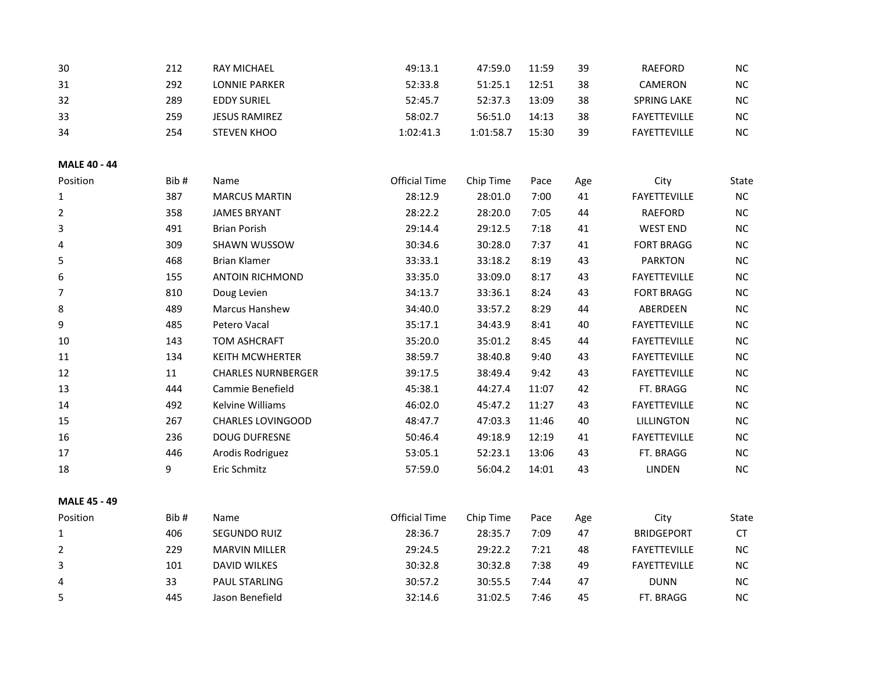| 30  | 212 | <b>RAY MICHAEL</b>   | 49:13.1   | 47:59.0   | 11:59 | 39 | RAEFORD             | <b>NC</b> |
|-----|-----|----------------------|-----------|-----------|-------|----|---------------------|-----------|
| 31  | 292 | LONNIE PARKER        | 52:33.8   | 51:25.1   | 12:51 | 38 | CAMERON             | NC.       |
| 32  | 289 | <b>EDDY SURIEL</b>   | 52:45.7   | 52:37.3   | 13:09 | 38 | <b>SPRING LAKE</b>  | NC.       |
| -33 | 259 | <b>JESUS RAMIREZ</b> | 58:02.7   | 56:51.0   | 14:13 | 38 | <b>FAYETTEVILLE</b> | <b>NC</b> |
| 34  | 254 | <b>STEVEN KHOO</b>   | 1:02:41.3 | 1:01:58.7 | 15:30 | 39 | <b>FAYETTEVILLE</b> | <b>NC</b> |

#### **MALE 40 - 44**

| Position | Bib# | Name                      | Official Time | Chip Time | Pace  | Age | City                | <b>State</b> |
|----------|------|---------------------------|---------------|-----------|-------|-----|---------------------|--------------|
| 1        | 387  | <b>MARCUS MARTIN</b>      | 28:12.9       | 28:01.0   | 7:00  | 41  | <b>FAYETTEVILLE</b> | NC           |
| 2        | 358  | <b>JAMES BRYANT</b>       | 28:22.2       | 28:20.0   | 7:05  | 44  | <b>RAEFORD</b>      | <b>NC</b>    |
| 3        | 491  | <b>Brian Porish</b>       | 29:14.4       | 29:12.5   | 7:18  | 41  | <b>WEST END</b>     | <b>NC</b>    |
| 4        | 309  | <b>SHAWN WUSSOW</b>       | 30:34.6       | 30:28.0   | 7:37  | 41  | <b>FORT BRAGG</b>   | <b>NC</b>    |
| 5        | 468  | <b>Brian Klamer</b>       | 33:33.1       | 33:18.2   | 8:19  | 43  | <b>PARKTON</b>      | <b>NC</b>    |
| 6        | 155  | <b>ANTOIN RICHMOND</b>    | 33:35.0       | 33:09.0   | 8:17  | 43  | <b>FAYETTEVILLE</b> | <b>NC</b>    |
| 7        | 810  | Doug Levien               | 34:13.7       | 33:36.1   | 8:24  | 43  | <b>FORT BRAGG</b>   | <b>NC</b>    |
| 8        | 489  | <b>Marcus Hanshew</b>     | 34:40.0       | 33:57.2   | 8:29  | 44  | ABERDEEN            | <b>NC</b>    |
| 9        | 485  | Petero Vacal              | 35:17.1       | 34:43.9   | 8:41  | 40  | <b>FAYETTEVILLE</b> | <b>NC</b>    |
| 10       | 143  | <b>TOM ASHCRAFT</b>       | 35:20.0       | 35:01.2   | 8:45  | 44  | <b>FAYETTEVILLE</b> | <b>NC</b>    |
| 11       | 134  | <b>KEITH MCWHERTER</b>    | 38:59.7       | 38:40.8   | 9:40  | 43  | <b>FAYETTEVILLE</b> | <b>NC</b>    |
| 12       | 11   | <b>CHARLES NURNBERGER</b> | 39:17.5       | 38:49.4   | 9:42  | 43  | <b>FAYETTEVILLE</b> | NC.          |
| 13       | 444  | Cammie Benefield          | 45:38.1       | 44:27.4   | 11:07 | 42  | FT. BRAGG           | <b>NC</b>    |
| 14       | 492  | <b>Kelvine Williams</b>   | 46:02.0       | 45:47.2   | 11:27 | 43  | <b>FAYETTEVILLE</b> | <b>NC</b>    |
| 15       | 267  | <b>CHARLES LOVINGOOD</b>  | 48:47.7       | 47:03.3   | 11:46 | 40  | <b>LILLINGTON</b>   | <b>NC</b>    |
| 16       | 236  | <b>DOUG DUFRESNE</b>      | 50:46.4       | 49:18.9   | 12:19 | 41  | <b>FAYETTEVILLE</b> | <b>NC</b>    |
| 17       | 446  | Arodis Rodriguez          | 53:05.1       | 52:23.1   | 13:06 | 43  | FT. BRAGG           | <b>NC</b>    |
| 18       | 9    | Eric Schmitz              | 57:59.0       | 56:04.2   | 14:01 | 43  | LINDEN              | <b>NC</b>    |
|          |      |                           |               |           |       |     |                     |              |

## **MALE 45 - 49**

| Position | Bib# | Name.                | Official Time | Chip Time | Pace | Age | Citv                | State     |
|----------|------|----------------------|---------------|-----------|------|-----|---------------------|-----------|
|          | 406  | <b>SEGUNDO RUIZ</b>  | 28:36.7       | 28:35.7   | 7:09 | 47  | <b>BRIDGEPORT</b>   | СT        |
|          | 229  | <b>MARVIN MILLER</b> | 29:24.5       | 29:22.2   | 7:21 | 48  | <b>FAYETTEVILLE</b> | <b>NC</b> |
|          | 101  | DAVID WILKES         | 30:32.8       | 30:32.8   | 7:38 | 49  | <b>FAYETTEVILLE</b> | <b>NC</b> |
| 4        | 33   | <b>PAUL STARLING</b> | 30:57.2       | 30:55.5   | 7:44 | 47  | <b>DUNN</b>         | ΝC        |
|          | 445  | Jason Benefield      | 32:14.6       | 31:02.5   | 7:46 | 45  | FT. BRAGG           | NС        |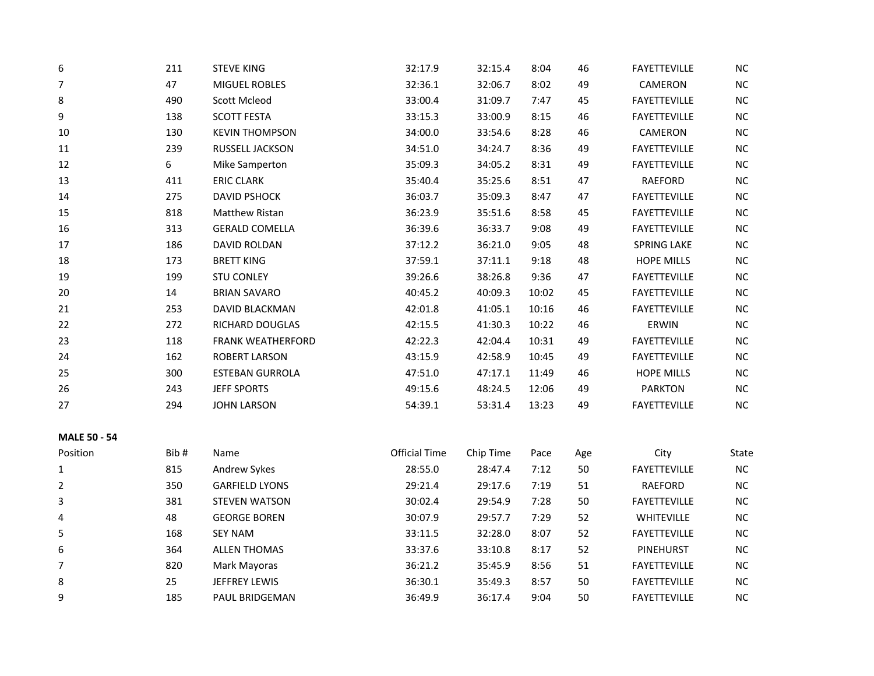| 6  | 211 | <b>STEVE KING</b>        | 32:17.9 | 32:15.4 | 8:04  | 46 | <b>FAYETTEVILLE</b> | <b>NC</b> |
|----|-----|--------------------------|---------|---------|-------|----|---------------------|-----------|
| 7  | 47  | <b>MIGUEL ROBLES</b>     | 32:36.1 | 32:06.7 | 8:02  | 49 | CAMERON             | $NC$      |
| 8  | 490 | Scott Mcleod             | 33:00.4 | 31:09.7 | 7:47  | 45 | <b>FAYETTEVILLE</b> | <b>NC</b> |
| 9  | 138 | <b>SCOTT FESTA</b>       | 33:15.3 | 33:00.9 | 8:15  | 46 | <b>FAYETTEVILLE</b> | NC        |
| 10 | 130 | <b>KEVIN THOMPSON</b>    | 34:00.0 | 33:54.6 | 8:28  | 46 | CAMERON             | NC        |
| 11 | 239 | RUSSELL JACKSON          | 34:51.0 | 34:24.7 | 8:36  | 49 | <b>FAYETTEVILLE</b> | NC        |
| 12 | 6   | Mike Samperton           | 35:09.3 | 34:05.2 | 8:31  | 49 | <b>FAYETTEVILLE</b> | NC        |
| 13 | 411 | <b>ERIC CLARK</b>        | 35:40.4 | 35:25.6 | 8:51  | 47 | RAEFORD             | $NC$      |
| 14 | 275 | <b>DAVID PSHOCK</b>      | 36:03.7 | 35:09.3 | 8:47  | 47 | <b>FAYETTEVILLE</b> | NC        |
| 15 | 818 | <b>Matthew Ristan</b>    | 36:23.9 | 35:51.6 | 8:58  | 45 | <b>FAYETTEVILLE</b> | NC        |
| 16 | 313 | <b>GERALD COMELLA</b>    | 36:39.6 | 36:33.7 | 9:08  | 49 | <b>FAYETTEVILLE</b> | NC        |
| 17 | 186 | DAVID ROLDAN             | 37:12.2 | 36:21.0 | 9:05  | 48 | <b>SPRING LAKE</b>  | NC        |
| 18 | 173 | <b>BRETT KING</b>        | 37:59.1 | 37:11.1 | 9:18  | 48 | <b>HOPE MILLS</b>   | $NC$      |
| 19 | 199 | <b>STU CONLEY</b>        | 39:26.6 | 38:26.8 | 9:36  | 47 | <b>FAYETTEVILLE</b> | $NC$      |
| 20 | 14  | <b>BRIAN SAVARO</b>      | 40:45.2 | 40:09.3 | 10:02 | 45 | <b>FAYETTEVILLE</b> | NC        |
| 21 | 253 | <b>DAVID BLACKMAN</b>    | 42:01.8 | 41:05.1 | 10:16 | 46 | <b>FAYETTEVILLE</b> | NC        |
| 22 | 272 | <b>RICHARD DOUGLAS</b>   | 42:15.5 | 41:30.3 | 10:22 | 46 | ERWIN               | <b>NC</b> |
| 23 | 118 | <b>FRANK WEATHERFORD</b> | 42:22.3 | 42:04.4 | 10:31 | 49 | <b>FAYETTEVILLE</b> | NC        |
| 24 | 162 | <b>ROBERT LARSON</b>     | 43:15.9 | 42:58.9 | 10:45 | 49 | <b>FAYETTEVILLE</b> | NC        |
| 25 | 300 | <b>ESTEBAN GURROLA</b>   | 47:51.0 | 47:17.1 | 11:49 | 46 | <b>HOPE MILLS</b>   | NC        |
| 26 | 243 | <b>JEFF SPORTS</b>       | 49:15.6 | 48:24.5 | 12:06 | 49 | <b>PARKTON</b>      | <b>NC</b> |
| 27 | 294 | <b>JOHN LARSON</b>       | 54:39.1 | 53:31.4 | 13:23 | 49 | <b>FAYETTEVILLE</b> | NC        |
|    |     |                          |         |         |       |    |                     |           |

| <b>MALE 50 - 54</b> |  |  |  |
|---------------------|--|--|--|
|---------------------|--|--|--|

| Position | Bib# | Name                  | Official Time | Chip Time | Pace | Age | City                | State     |
|----------|------|-----------------------|---------------|-----------|------|-----|---------------------|-----------|
| 1        | 815  | Andrew Sykes          | 28:55.0       | 28:47.4   | 7:12 | 50  | <b>FAYETTEVILLE</b> | NC.       |
| 2        | 350  | <b>GARFIELD LYONS</b> | 29:21.4       | 29:17.6   | 7:19 | 51  | <b>RAEFORD</b>      | NC.       |
| 3        | 381  | <b>STEVEN WATSON</b>  | 30:02.4       | 29:54.9   | 7:28 | 50  | <b>FAYETTEVILLE</b> | <b>NC</b> |
| 4        | 48   | <b>GEORGE BOREN</b>   | 30:07.9       | 29:57.7   | 7:29 | 52  | <b>WHITEVILLE</b>   | NC.       |
| 5        | 168  | <b>SEY NAM</b>        | 33:11.5       | 32:28.0   | 8:07 | 52  | <b>FAYETTEVILLE</b> | <b>NC</b> |
| 6        | 364  | <b>ALLEN THOMAS</b>   | 33:37.6       | 33:10.8   | 8:17 | 52  | PINEHURST           | NC.       |
| 7        | 820  | Mark Mayoras          | 36:21.2       | 35:45.9   | 8:56 | 51  | <b>FAYETTEVILLE</b> | NC.       |
| 8        | 25   | <b>JEFFREY LEWIS</b>  | 36:30.1       | 35:49.3   | 8:57 | 50  | <b>FAYETTEVILLE</b> | NC.       |
| 9        | 185  | <b>PAUL BRIDGEMAN</b> | 36:49.9       | 36:17.4   | 9:04 | 50  | <b>FAYETTEVILLE</b> | NC.       |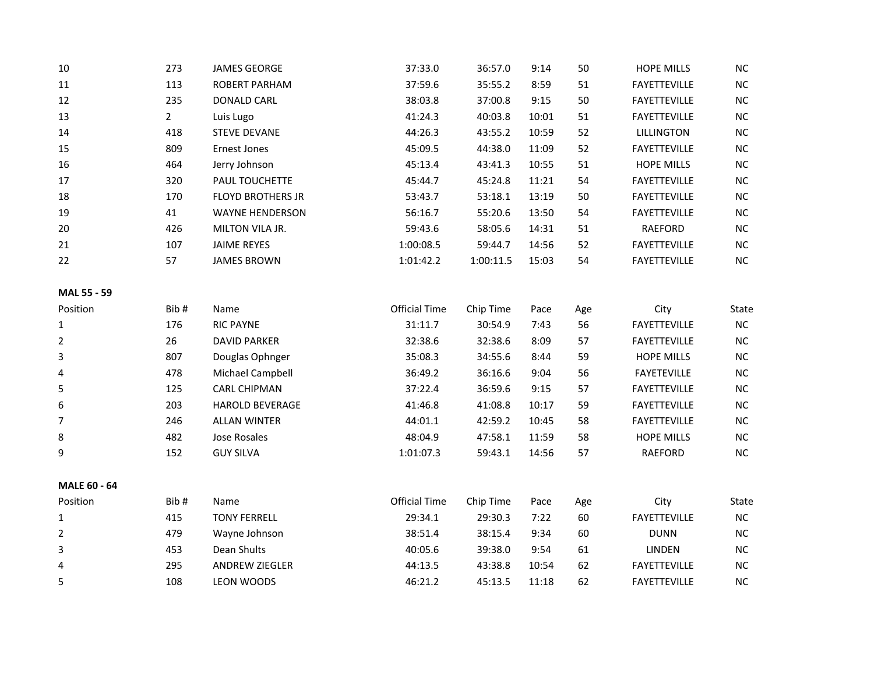| 10                 | 273          | <b>JAMES GEORGE</b>      | 37:33.0              | 36:57.0   | 9:14  | 50        | <b>HOPE MILLS</b>   | <b>NC</b>    |
|--------------------|--------------|--------------------------|----------------------|-----------|-------|-----------|---------------------|--------------|
| 11                 | 113          | ROBERT PARHAM            | 37:59.6              | 35:55.2   | 8:59  | 51        | <b>FAYETTEVILLE</b> | <b>NC</b>    |
| 12                 | 235          | <b>DONALD CARL</b>       | 38:03.8              | 37:00.8   | 9:15  | 50        | <b>FAYETTEVILLE</b> | <b>NC</b>    |
| 13                 | $\mathbf{2}$ | Luis Lugo                | 41:24.3              | 40:03.8   | 10:01 | 51        | <b>FAYETTEVILLE</b> | <b>NC</b>    |
| 14                 | 418          | <b>STEVE DEVANE</b>      | 44:26.3              | 43:55.2   | 10:59 | 52        | LILLINGTON          | NC.          |
| 15                 | 809          | Ernest Jones             | 45:09.5              | 44:38.0   | 11:09 | 52        | <b>FAYETTEVILLE</b> | <b>NC</b>    |
| 16                 | 464          | Jerry Johnson            | 45:13.4              | 43:41.3   | 10:55 | 51        | <b>HOPE MILLS</b>   | <b>NC</b>    |
| 17                 | 320          | PAUL TOUCHETTE           | 45:44.7              | 45:24.8   | 11:21 | 54        | <b>FAYETTEVILLE</b> | <b>NC</b>    |
| 18                 | 170          | <b>FLOYD BROTHERS JR</b> | 53:43.7              | 53:18.1   | 13:19 | 50        | <b>FAYETTEVILLE</b> | <b>NC</b>    |
| 19                 | 41           | <b>WAYNE HENDERSON</b>   | 56:16.7              | 55:20.6   | 13:50 | 54        | <b>FAYETTEVILLE</b> | <b>NC</b>    |
| 20                 | 426          | MILTON VILA JR.          | 59:43.6              | 58:05.6   | 14:31 | 51        | RAEFORD             | <b>NC</b>    |
| 21                 | 107          | <b>JAIME REYES</b>       | 1:00:08.5            | 59:44.7   | 14:56 | 52        | <b>FAYETTEVILLE</b> | <b>NC</b>    |
| 22                 | 57           | <b>JAMES BROWN</b>       | 1:01:42.2            | 1:00:11.5 | 15:03 | 54        | <b>FAYETTEVILLE</b> | <b>NC</b>    |
| <b>MAL 55 - 59</b> |              |                          |                      |           |       |           |                     |              |
| Position           | Bib#         | Name                     | <b>Official Time</b> | Chip Time | Pace  | Age       | City                | State        |
| 1                  | 176          | <b>RIC PAYNE</b>         | 31:11.7              | 30:54.9   | 7:43  | 56        | <b>FAYETTEVILLE</b> | NC.          |
| $\mathbf{r}$       | nc.          | <b>DAVID DADIZED</b>     | 22.20c               | 22.20c    | 0.00  | <b>F7</b> | FAYFTTTUVHIF        | $\mathbf{M}$ |

|   | 17 U | NIC FAINE              | 31.11.7   | 30.J4.J | 7.45  | υU | <b>FAILIILVILLL</b> | טע        |
|---|------|------------------------|-----------|---------|-------|----|---------------------|-----------|
|   | 26   | <b>DAVID PARKER</b>    | 32:38.6   | 32:38.6 | 8:09  | 57 | <b>FAYETTEVILLE</b> | <b>NC</b> |
|   | 807  | Douglas Ophnger        | 35:08.3   | 34:55.6 | 8:44  | 59 | <b>HOPE MILLS</b>   | <b>NC</b> |
| 4 | 478  | Michael Campbell       | 36:49.2   | 36:16.6 | 9:04  | 56 | <b>FAYETEVILLE</b>  | <b>NC</b> |
|   | 125  | <b>CARL CHIPMAN</b>    | 37:22.4   | 36:59.6 | 9:15  | 57 | <b>FAYETTEVILLE</b> | <b>NC</b> |
| 6 | 203  | <b>HAROLD BEVERAGE</b> | 41:46.8   | 41:08.8 | 10:17 | 59 | <b>FAYETTEVILLE</b> | <b>NC</b> |
|   | 246  | <b>ALLAN WINTER</b>    | 44:01.1   | 42:59.2 | 10:45 | 58 | <b>FAYETTEVILLE</b> | <b>NC</b> |
| 8 | 482  | Jose Rosales           | 48:04.9   | 47:58.1 | 11:59 | 58 | <b>HOPE MILLS</b>   | <b>NC</b> |
| 9 | 152  | <b>GUY SILVA</b>       | 1:01:07.3 | 59:43.1 | 14:56 | 57 | <b>RAEFORD</b>      | <b>NC</b> |

**MALE 60 - 64**

| Position | Bib# | Name                  | Official Time | Chip Time | Pace  | Age | City                | State     |
|----------|------|-----------------------|---------------|-----------|-------|-----|---------------------|-----------|
|          | 415  | <b>TONY FERRELL</b>   | 29:34.1       | 29:30.3   | 7:22  | 60  | <b>FAYETTEVILLE</b> | <b>NC</b> |
| 2        | 479  | Wayne Johnson         | 38:51.4       | 38:15.4   | 9:34  | 60  | <b>DUNN</b>         | NC.       |
|          | 453  | Dean Shults           | 40:05.6       | 39:38.0   | 9:54  | 61  | LINDEN              | <b>NC</b> |
| 4        | 295  | <b>ANDREW ZIEGLER</b> | 44:13.5       | 43:38.8   | 10:54 | 62  | <b>FAYETTEVILLE</b> | <b>NC</b> |
| 5        | 108  | LEON WOODS            | 46:21.2       | 45:13.5   | 11:18 | 62  | <b>FAYETTEVILLE</b> | <b>NC</b> |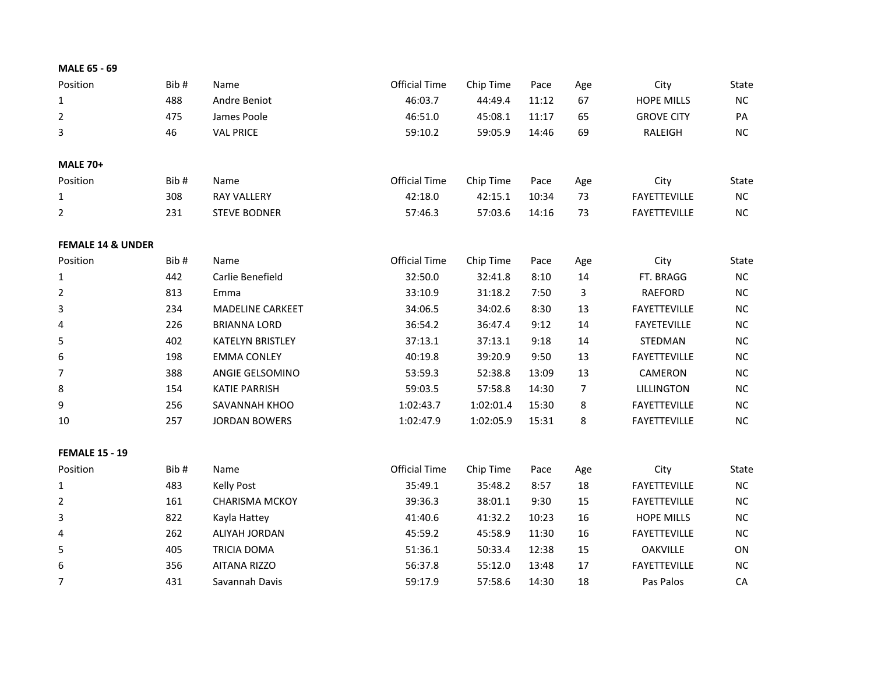| MALE 65 - 69                 |      |                         |                      |           |       |     |                     |           |
|------------------------------|------|-------------------------|----------------------|-----------|-------|-----|---------------------|-----------|
| Position                     | Bib# | Name                    | <b>Official Time</b> | Chip Time | Pace  | Age | City                | State     |
| $\mathbf 1$                  | 488  | Andre Beniot            | 46:03.7              | 44:49.4   | 11:12 | 67  | <b>HOPE MILLS</b>   | NC        |
| 2                            | 475  | James Poole             | 46:51.0              | 45:08.1   | 11:17 | 65  | <b>GROVE CITY</b>   | PA        |
| 3                            | 46   | <b>VAL PRICE</b>        | 59:10.2              | 59:05.9   | 14:46 | 69  | <b>RALEIGH</b>      | NC        |
| <b>MALE 70+</b>              |      |                         |                      |           |       |     |                     |           |
| Position                     | Bib# | Name                    | <b>Official Time</b> | Chip Time | Pace  | Age | City                | State     |
| 1                            | 308  | <b>RAY VALLERY</b>      | 42:18.0              | 42:15.1   | 10:34 | 73  | <b>FAYETTEVILLE</b> | NC        |
| $\overline{2}$               | 231  | <b>STEVE BODNER</b>     | 57:46.3              | 57:03.6   | 14:16 | 73  | FAYETTEVILLE        | NC        |
| <b>FEMALE 14 &amp; UNDER</b> |      |                         |                      |           |       |     |                     |           |
| Position                     | Bib# | Name                    | <b>Official Time</b> | Chip Time | Pace  | Age | City                | State     |
| 1                            | 442  | Carlie Benefield        | 32:50.0              | 32:41.8   | 8:10  | 14  | FT. BRAGG           | NC        |
| $\overline{2}$               | 813  | Emma                    | 33:10.9              | 31:18.2   | 7:50  | 3   | <b>RAEFORD</b>      | <b>NC</b> |
| 3                            | 234  | <b>MADELINE CARKEET</b> | 34:06.5              | 34:02.6   | 8:30  | 13  | <b>FAYETTEVILLE</b> | <b>NC</b> |
| 4                            | 226  | <b>BRIANNA LORD</b>     | 36:54.2              | 36:47.4   | 9:12  | 14  | <b>FAYETEVILLE</b>  | <b>NC</b> |
| 5                            | 402  | <b>KATELYN BRISTLEY</b> | 37:13.1              | 37:13.1   | 9:18  | 14  | STEDMAN             | <b>NC</b> |
| 6                            | 198  | <b>EMMA CONLEY</b>      | 40:19.8              | 39:20.9   | 9:50  | 13  | <b>FAYETTEVILLE</b> | <b>NC</b> |
| 7                            | 388  | ANGIE GELSOMINO         | 53:59.3              | 52:38.8   | 13:09 | 13  | CAMERON             | NC        |
| 8                            | 154  | <b>KATIE PARRISH</b>    | 59:03.5              | 57:58.8   | 14:30 | 7   | LILLINGTON          | <b>NC</b> |
| 9                            | 256  | SAVANNAH KHOO           | 1:02:43.7            | 1:02:01.4 | 15:30 | 8   | <b>FAYETTEVILLE</b> | <b>NC</b> |
| 10                           | 257  | <b>JORDAN BOWERS</b>    | 1:02:47.9            | 1:02:05.9 | 15:31 | 8   | <b>FAYETTEVILLE</b> | NC        |
| <b>FEMALE 15 - 19</b>        |      |                         |                      |           |       |     |                     |           |
| Position                     | Bib# | Name                    | <b>Official Time</b> | Chip Time | Pace  | Age | City                | State     |
| 1                            | 483  | <b>Kelly Post</b>       | 35:49.1              | 35:48.2   | 8:57  | 18  | <b>FAYETTEVILLE</b> | NC        |
| 2                            | 161  | <b>CHARISMA MCKOY</b>   | 39:36.3              | 38:01.1   | 9:30  | 15  | <b>FAYETTEVILLE</b> | <b>NC</b> |
| 3                            | 822  | Kayla Hattey            | 41:40.6              | 41:32.2   | 10:23 | 16  | <b>HOPE MILLS</b>   | <b>NC</b> |
| 4                            | 262  | ALIYAH JORDAN           | 45:59.2              | 45:58.9   | 11:30 | 16  | <b>FAYETTEVILLE</b> | <b>NC</b> |
| 5                            | 405  | <b>TRICIA DOMA</b>      | 51:36.1              | 50:33.4   | 12:38 | 15  | <b>OAKVILLE</b>     | ON        |
| 6                            | 356  | <b>AITANA RIZZO</b>     | 56:37.8              | 55:12.0   | 13:48 | 17  | <b>FAYETTEVILLE</b> | <b>NC</b> |
| $\overline{7}$               | 431  | Savannah Davis          | 59:17.9              | 57:58.6   | 14:30 | 18  | Pas Palos           | CA        |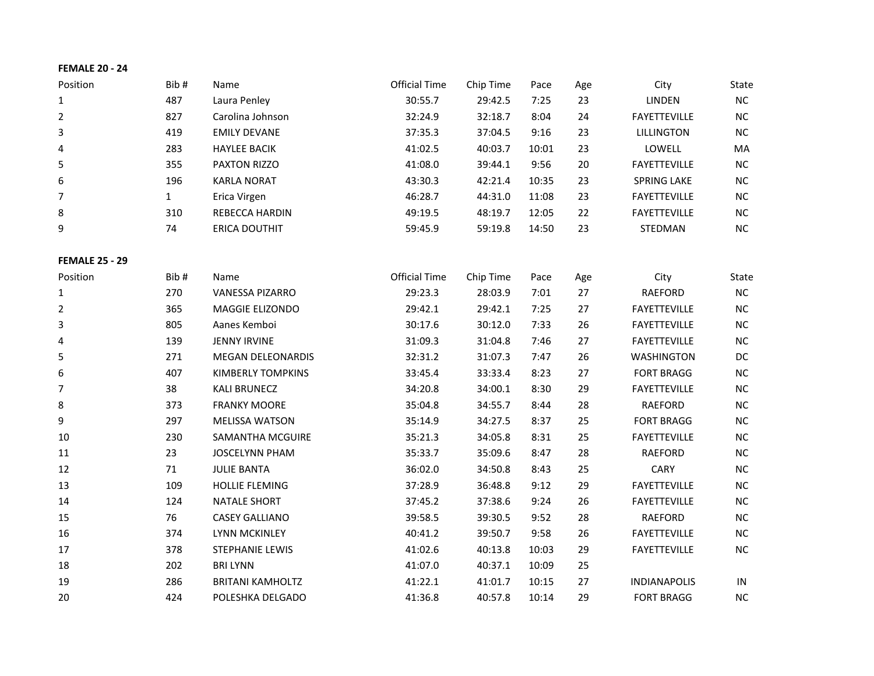# **FEMALE 20 - 24**

| Position              | Bib#         | Name                     | <b>Official Time</b> | Chip Time | Pace  | Age | City                | State     |
|-----------------------|--------------|--------------------------|----------------------|-----------|-------|-----|---------------------|-----------|
| $\mathbf{1}$          | 487          | Laura Penley             | 30:55.7              | 29:42.5   | 7:25  | 23  | LINDEN              | $\sf NC$  |
| 2                     | 827          | Carolina Johnson         | 32:24.9              | 32:18.7   | 8:04  | 24  | <b>FAYETTEVILLE</b> | $NC$      |
| 3                     | 419          | <b>EMILY DEVANE</b>      | 37:35.3              | 37:04.5   | 9:16  | 23  | <b>LILLINGTON</b>   | NC        |
| 4                     | 283          | <b>HAYLEE BACIK</b>      | 41:02.5              | 40:03.7   | 10:01 | 23  | LOWELL              | MA        |
| 5                     | 355          | PAXTON RIZZO             | 41:08.0              | 39:44.1   | 9:56  | 20  | <b>FAYETTEVILLE</b> | NC        |
| 6                     | 196          | <b>KARLA NORAT</b>       | 43:30.3              | 42:21.4   | 10:35 | 23  | <b>SPRING LAKE</b>  | NC        |
| $\overline{7}$        | $\mathbf{1}$ | Erica Virgen             | 46:28.7              | 44:31.0   | 11:08 | 23  | FAYETTEVILLE        | NC        |
| 8                     | 310          | REBECCA HARDIN           | 49:19.5              | 48:19.7   | 12:05 | 22  | FAYETTEVILLE        | $NC$      |
| 9                     | 74           | ERICA DOUTHIT            | 59:45.9              | 59:19.8   | 14:50 | 23  | STEDMAN             | <b>NC</b> |
| <b>FEMALE 25 - 29</b> |              |                          |                      |           |       |     |                     |           |
| Position              | Bib#         | Name                     | <b>Official Time</b> | Chip Time | Pace  | Age | City                | State     |
| $\mathbf{1}$          | 270          | VANESSA PIZARRO          | 29:23.3              | 28:03.9   | 7:01  | 27  | RAEFORD             | $\sf NC$  |
| 2                     | 365          | MAGGIE ELIZONDO          | 29:42.1              | 29:42.1   | 7:25  | 27  | FAYETTEVILLE        | $NC$      |
| 3                     | 805          | Aanes Kemboi             | 30:17.6              | 30:12.0   | 7:33  | 26  | <b>FAYETTEVILLE</b> | NC        |
| 4                     | 139          | <b>JENNY IRVINE</b>      | 31:09.3              | 31:04.8   | 7:46  | 27  | FAYETTEVILLE        | NC        |
| 5                     | 271          | MEGAN DELEONARDIS        | 32:31.2              | 31:07.3   | 7:47  | 26  | <b>WASHINGTON</b>   | DC        |
| 6                     | 407          | <b>KIMBERLY TOMPKINS</b> | 33:45.4              | 33:33.4   | 8:23  | 27  | <b>FORT BRAGG</b>   | $NC$      |
| 7                     | 38           | <b>KALI BRUNECZ</b>      | 34:20.8              | 34:00.1   | 8:30  | 29  | FAYETTEVILLE        | $NC$      |
| 8                     | 373          | <b>FRANKY MOORE</b>      | 35:04.8              | 34:55.7   | 8:44  | 28  | RAEFORD             | $NC$      |
| 9                     | 297          | <b>MELISSA WATSON</b>    | 35:14.9              | 34:27.5   | 8:37  | 25  | <b>FORT BRAGG</b>   | $NC$      |
| 10                    | 230          | SAMANTHA MCGUIRE         | 35:21.3              | 34:05.8   | 8:31  | 25  | <b>FAYETTEVILLE</b> | $NC$      |
| 11                    | 23           | <b>JOSCELYNN PHAM</b>    | 35:33.7              | 35:09.6   | 8:47  | 28  | <b>RAEFORD</b>      | NC        |
| 12                    | 71           | <b>JULIE BANTA</b>       | 36:02.0              | 34:50.8   | 8:43  | 25  | CARY                | NC        |
| 13                    | 109          | <b>HOLLIE FLEMING</b>    | 37:28.9              | 36:48.8   | 9:12  | 29  | <b>FAYETTEVILLE</b> | NC        |
| 14                    | 124          | <b>NATALE SHORT</b>      | 37:45.2              | 37:38.6   | 9:24  | 26  | <b>FAYETTEVILLE</b> | $NC$      |
| 15                    | 76           | <b>CASEY GALLIANO</b>    | 39:58.5              | 39:30.5   | 9:52  | 28  | RAEFORD             | $NC$      |
| 16                    | 374          | <b>LYNN MCKINLEY</b>     | 40:41.2              | 39:50.7   | 9:58  | 26  | FAYETTEVILLE        | $NC$      |
| 17                    | 378          | STEPHANIE LEWIS          | 41:02.6              | 40:13.8   | 10:03 | 29  | FAYETTEVILLE        | <b>NC</b> |
| 18                    | 202          | <b>BRI LYNN</b>          | 41:07.0              | 40:37.1   | 10:09 | 25  |                     |           |
| 19                    | 286          | <b>BRITANI KAMHOLTZ</b>  | 41:22.1              | 41:01.7   | 10:15 | 27  | <b>INDIANAPOLIS</b> | $\sf IN$  |
| 20                    | 424          | POLESHKA DELGADO         | 41:36.8              | 40:57.8   | 10:14 | 29  | <b>FORT BRAGG</b>   | $NC$      |
|                       |              |                          |                      |           |       |     |                     |           |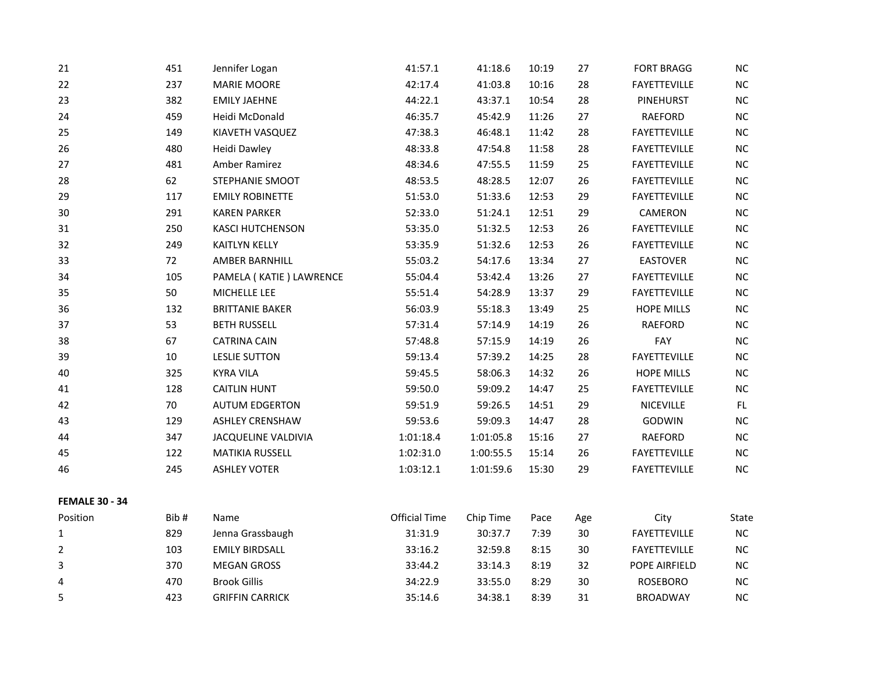| 21                    | 451  | Jennifer Logan          | 41:57.1              | 41:18.6   | 10:19 | 27  | <b>FORT BRAGG</b>   | $\sf NC$  |
|-----------------------|------|-------------------------|----------------------|-----------|-------|-----|---------------------|-----------|
| 22                    | 237  | MARIE MOORE             | 42:17.4              | 41:03.8   | 10:16 | 28  | FAYETTEVILLE        | $NC$      |
| 23                    | 382  | <b>EMILY JAEHNE</b>     | 44:22.1              | 43:37.1   | 10:54 | 28  | PINEHURST           | NC        |
| 24                    | 459  | Heidi McDonald          | 46:35.7              | 45:42.9   | 11:26 | 27  | RAEFORD             | NC        |
| 25                    | 149  | KIAVETH VASQUEZ         | 47:38.3              | 46:48.1   | 11:42 | 28  | FAYETTEVILLE        | $NC$      |
| 26                    | 480  | Heidi Dawley            | 48:33.8              | 47:54.8   | 11:58 | 28  | FAYETTEVILLE        | $NC$      |
| 27                    | 481  | Amber Ramirez           | 48:34.6              | 47:55.5   | 11:59 | 25  | FAYETTEVILLE        | $NC$      |
| 28                    | 62   | STEPHANIE SMOOT         | 48:53.5              | 48:28.5   | 12:07 | 26  | FAYETTEVILLE        | NC        |
| 29                    | 117  | <b>EMILY ROBINETTE</b>  | 51:53.0              | 51:33.6   | 12:53 | 29  | FAYETTEVILLE        | $\sf NC$  |
| 30                    | 291  | <b>KAREN PARKER</b>     | 52:33.0              | 51:24.1   | 12:51 | 29  | CAMERON             | NC        |
| 31                    | 250  | <b>KASCI HUTCHENSON</b> | 53:35.0              | 51:32.5   | 12:53 | 26  | FAYETTEVILLE        | NC        |
| 32                    | 249  | <b>KAITLYN KELLY</b>    | 53:35.9              | 51:32.6   | 12:53 | 26  | FAYETTEVILLE        | NC        |
| 33                    | 72   | AMBER BARNHILL          | 55:03.2              | 54:17.6   | 13:34 | 27  | <b>EASTOVER</b>     | <b>NC</b> |
| 34                    | 105  | PAMELA (KATIE) LAWRENCE | 55:04.4              | 53:42.4   | 13:26 | 27  | FAYETTEVILLE        | NC        |
| 35                    | 50   | MICHELLE LEE            | 55:51.4              | 54:28.9   | 13:37 | 29  | FAYETTEVILLE        | $NC$      |
| 36                    | 132  | <b>BRITTANIE BAKER</b>  | 56:03.9              | 55:18.3   | 13:49 | 25  | <b>HOPE MILLS</b>   | $NC$      |
| 37                    | 53   | <b>BETH RUSSELL</b>     | 57:31.4              | 57:14.9   | 14:19 | 26  | <b>RAEFORD</b>      | NC        |
| 38                    | 67   | <b>CATRINA CAIN</b>     | 57:48.8              | 57:15.9   | 14:19 | 26  | FAY                 | NC        |
| 39                    | 10   | <b>LESLIE SUTTON</b>    | 59:13.4              | 57:39.2   | 14:25 | 28  | FAYETTEVILLE        | $NC$      |
| 40                    | 325  | <b>KYRA VILA</b>        | 59:45.5              | 58:06.3   | 14:32 | 26  | <b>HOPE MILLS</b>   | NC        |
| 41                    | 128  | <b>CAITLIN HUNT</b>     | 59:50.0              | 59:09.2   | 14:47 | 25  | <b>FAYETTEVILLE</b> | $NC$      |
| 42                    | 70   | <b>AUTUM EDGERTON</b>   | 59:51.9              | 59:26.5   | 14:51 | 29  | <b>NICEVILLE</b>    | FL.       |
| 43                    | 129  | <b>ASHLEY CRENSHAW</b>  | 59:53.6              | 59:09.3   | 14:47 | 28  | GODWIN              | NC        |
| 44                    | 347  | JACQUELINE VALDIVIA     | 1:01:18.4            | 1:01:05.8 | 15:16 | 27  | RAEFORD             | $NC$      |
| 45                    | 122  | MATIKIA RUSSELL         | 1:02:31.0            | 1:00:55.5 | 15:14 | 26  | FAYETTEVILLE        | $NC$      |
| 46                    | 245  | <b>ASHLEY VOTER</b>     | 1:03:12.1            | 1:01:59.6 | 15:30 | 29  | FAYETTEVILLE        | NC        |
| <b>FEMALE 30 - 34</b> |      |                         |                      |           |       |     |                     |           |
| Position              | Bib# | Name                    | <b>Official Time</b> | Chip Time | Pace  | Age | City                | State     |
| 1                     | 829  | Jenna Grassbaugh        | 31:31.9              | 30:37.7   | 7:39  | 30  | FAYETTEVILLE        | NC        |
| $\overline{2}$        | 103  | <b>EMILY BIRDSALL</b>   | 33:16.2              | 32:59.8   | 8:15  | 30  | FAYETTEVILLE        | NC        |
| 3                     | 370  | <b>MEGAN GROSS</b>      | 33:44.2              | 33:14.3   | 8:19  | 32  | POPE AIRFIELD       | NC        |
| 4                     | 470  | <b>Brook Gillis</b>     | 34:22.9              | 33:55.0   | 8:29  | 30  | <b>ROSEBORO</b>     | $NC$      |
| 5                     | 423  | <b>GRIFFIN CARRICK</b>  | 35:14.6              | 34:38.1   | 8:39  | 31  | <b>BROADWAY</b>     | NC        |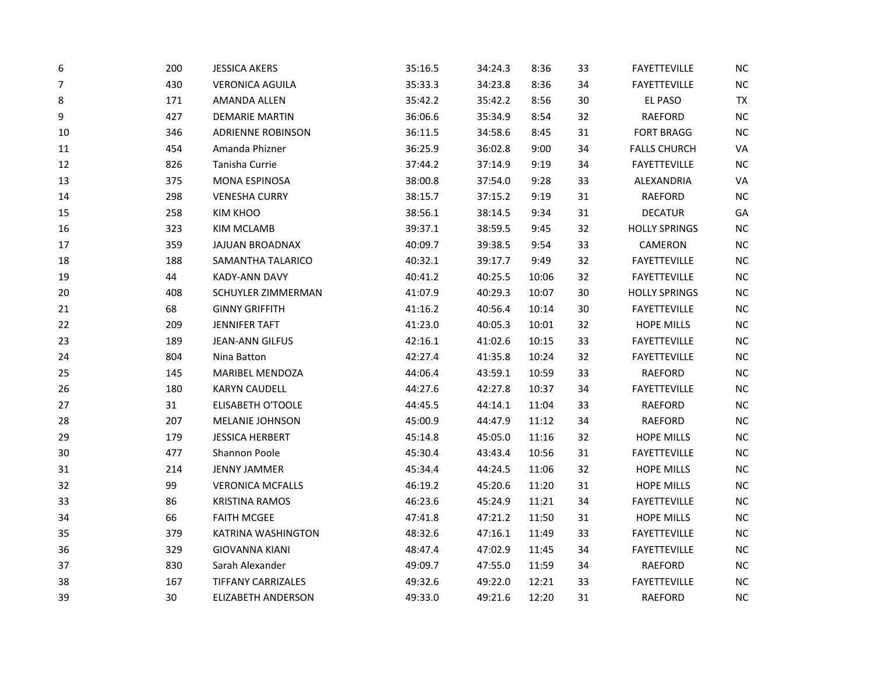| $\boldsymbol{6}$ | 200 | <b>JESSICA AKERS</b>      | 35:16.5 | 34:24.3 | 8:36  | 33 | <b>FAYETTEVILLE</b>  | NC        |
|------------------|-----|---------------------------|---------|---------|-------|----|----------------------|-----------|
| $\overline{7}$   | 430 | <b>VERONICA AGUILA</b>    | 35:33.3 | 34:23.8 | 8:36  | 34 | <b>FAYETTEVILLE</b>  | $NC$      |
| 8                | 171 | AMANDA ALLEN              | 35:42.2 | 35:42.2 | 8:56  | 30 | EL PASO              | <b>TX</b> |
| 9                | 427 | <b>DEMARIE MARTIN</b>     | 36:06.6 | 35:34.9 | 8:54  | 32 | RAEFORD              | <b>NC</b> |
| 10               | 346 | <b>ADRIENNE ROBINSON</b>  | 36:11.5 | 34:58.6 | 8:45  | 31 | <b>FORT BRAGG</b>    | NC        |
| 11               | 454 | Amanda Phizner            | 36:25.9 | 36:02.8 | 9:00  | 34 | <b>FALLS CHURCH</b>  | VA        |
| 12               | 826 | Tanisha Currie            | 37:44.2 | 37:14.9 | 9:19  | 34 | FAYETTEVILLE         | <b>NC</b> |
| 13               | 375 | MONA ESPINOSA             | 38:00.8 | 37:54.0 | 9:28  | 33 | ALEXANDRIA           | VA        |
| 14               | 298 | <b>VENESHA CURRY</b>      | 38:15.7 | 37:15.2 | 9:19  | 31 | <b>RAEFORD</b>       | NC        |
| 15               | 258 | <b>KIM KHOO</b>           | 38:56.1 | 38:14.5 | 9:34  | 31 | <b>DECATUR</b>       | GA        |
| 16               | 323 | <b>KIM MCLAMB</b>         | 39:37.1 | 38:59.5 | 9:45  | 32 | <b>HOLLY SPRINGS</b> | NC        |
| 17               | 359 | <b>JAJUAN BROADNAX</b>    | 40:09.7 | 39:38.5 | 9:54  | 33 | CAMERON              | <b>NC</b> |
| 18               | 188 | SAMANTHA TALARICO         | 40:32.1 | 39:17.7 | 9:49  | 32 | <b>FAYETTEVILLE</b>  | NC        |
| 19               | 44  | <b>KADY-ANN DAVY</b>      | 40:41.2 | 40:25.5 | 10:06 | 32 | <b>FAYETTEVILLE</b>  | NC        |
| 20               | 408 | SCHUYLER ZIMMERMAN        | 41:07.9 | 40:29.3 | 10:07 | 30 | <b>HOLLY SPRINGS</b> | NC        |
| 21               | 68  | <b>GINNY GRIFFITH</b>     | 41:16.2 | 40:56.4 | 10:14 | 30 | <b>FAYETTEVILLE</b>  | NC        |
| 22               | 209 | <b>JENNIFER TAFT</b>      | 41:23.0 | 40:05.3 | 10:01 | 32 | <b>HOPE MILLS</b>    | <b>NC</b> |
| 23               | 189 | <b>JEAN-ANN GILFUS</b>    | 42:16.1 | 41:02.6 | 10:15 | 33 | <b>FAYETTEVILLE</b>  | NC        |
| 24               | 804 | Nina Batton               | 42:27.4 | 41:35.8 | 10:24 | 32 | <b>FAYETTEVILLE</b>  | NC        |
| 25               | 145 | MARIBEL MENDOZA           | 44:06.4 | 43:59.1 | 10:59 | 33 | RAEFORD              | <b>NC</b> |
| 26               | 180 | <b>KARYN CAUDELL</b>      | 44:27.6 | 42:27.8 | 10:37 | 34 | <b>FAYETTEVILLE</b>  | NC        |
| 27               | 31  | <b>ELISABETH O'TOOLE</b>  | 44:45.5 | 44:14.1 | 11:04 | 33 | RAEFORD              | <b>NC</b> |
| 28               | 207 | MELANIE JOHNSON           | 45:00.9 | 44:47.9 | 11:12 | 34 | RAEFORD              | NC        |
| 29               | 179 | <b>JESSICA HERBERT</b>    | 45:14.8 | 45:05.0 | 11:16 | 32 | <b>HOPE MILLS</b>    | NC        |
| 30               | 477 | Shannon Poole             | 45:30.4 | 43:43.4 | 10:56 | 31 | FAYETTEVILLE         | <b>NC</b> |
| 31               | 214 | <b>JENNY JAMMER</b>       | 45:34.4 | 44:24.5 | 11:06 | 32 | <b>HOPE MILLS</b>    | NC        |
| 32               | 99  | <b>VERONICA MCFALLS</b>   | 46:19.2 | 45:20.6 | 11:20 | 31 | <b>HOPE MILLS</b>    | NC        |
| 33               | 86  | <b>KRISTINA RAMOS</b>     | 46:23.6 | 45:24.9 | 11:21 | 34 | <b>FAYETTEVILLE</b>  | NC        |
| 34               | 66  | <b>FAITH MCGEE</b>        | 47:41.8 | 47:21.2 | 11:50 | 31 | <b>HOPE MILLS</b>    | NC        |
| 35               | 379 | KATRINA WASHINGTON        | 48:32.6 | 47:16.1 | 11:49 | 33 | <b>FAYETTEVILLE</b>  | <b>NC</b> |
| 36               | 329 | <b>GIOVANNA KIANI</b>     | 48:47.4 | 47:02.9 | 11:45 | 34 | FAYETTEVILLE         | <b>NC</b> |
| 37               | 830 | Sarah Alexander           | 49:09.7 | 47:55.0 | 11:59 | 34 | RAEFORD              | NC        |
| 38               | 167 | <b>TIFFANY CARRIZALES</b> | 49:32.6 | 49:22.0 | 12:21 | 33 | <b>FAYETTEVILLE</b>  | <b>NC</b> |
| 39               | 30  | <b>ELIZABETH ANDERSON</b> | 49:33.0 | 49:21.6 | 12:20 | 31 | <b>RAEFORD</b>       | NC        |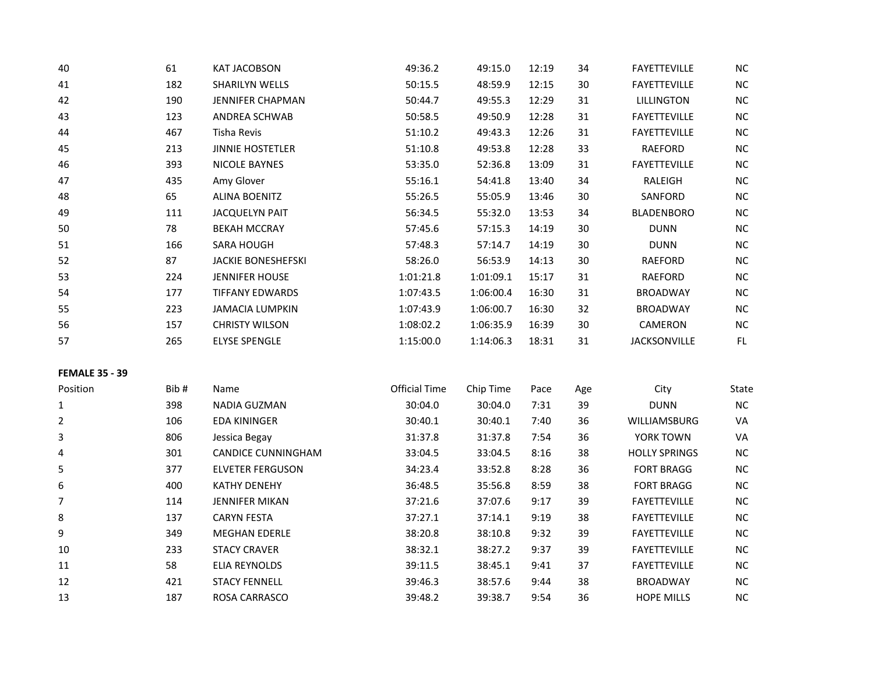| 40 | 61  | <b>KAT JACOBSON</b>       | 49:36.2   | 49:15.0   | 12:19 | 34 | <b>FAYETTEVILLE</b> | <b>NC</b> |
|----|-----|---------------------------|-----------|-----------|-------|----|---------------------|-----------|
| 41 | 182 | <b>SHARILYN WELLS</b>     | 50:15.5   | 48:59.9   | 12:15 | 30 | <b>FAYETTEVILLE</b> | <b>NC</b> |
| 42 | 190 | <b>JENNIFER CHAPMAN</b>   | 50:44.7   | 49:55.3   | 12:29 | 31 | <b>LILLINGTON</b>   | $NC$      |
| 43 | 123 | <b>ANDREA SCHWAB</b>      | 50:58.5   | 49:50.9   | 12:28 | 31 | <b>FAYETTEVILLE</b> | <b>NC</b> |
| 44 | 467 | Tisha Revis               | 51:10.2   | 49:43.3   | 12:26 | 31 | <b>FAYETTEVILLE</b> | <b>NC</b> |
| 45 | 213 | <b>JINNIE HOSTETLER</b>   | 51:10.8   | 49:53.8   | 12:28 | 33 | <b>RAEFORD</b>      | <b>NC</b> |
| 46 | 393 | NICOLE BAYNES             | 53:35.0   | 52:36.8   | 13:09 | 31 | <b>FAYETTEVILLE</b> | <b>NC</b> |
| 47 | 435 | Amy Glover                | 55:16.1   | 54:41.8   | 13:40 | 34 | RALEIGH             | <b>NC</b> |
| 48 | 65  | <b>ALINA BOENITZ</b>      | 55:26.5   | 55:05.9   | 13:46 | 30 | SANFORD             | <b>NC</b> |
| 49 | 111 | <b>JACQUELYN PAIT</b>     | 56:34.5   | 55:32.0   | 13:53 | 34 | <b>BLADENBORO</b>   | <b>NC</b> |
| 50 | 78  | <b>BEKAH MCCRAY</b>       | 57:45.6   | 57:15.3   | 14:19 | 30 | <b>DUNN</b>         | <b>NC</b> |
| 51 | 166 | <b>SARA HOUGH</b>         | 57:48.3   | 57:14.7   | 14:19 | 30 | <b>DUNN</b>         | <b>NC</b> |
| 52 | 87  | <b>JACKIE BONESHEFSKI</b> | 58:26.0   | 56:53.9   | 14:13 | 30 | RAEFORD             | <b>NC</b> |
| 53 | 224 | <b>JENNIFER HOUSE</b>     | 1:01:21.8 | 1:01:09.1 | 15:17 | 31 | RAEFORD             | <b>NC</b> |
| 54 | 177 | <b>TIFFANY EDWARDS</b>    | 1:07:43.5 | 1:06:00.4 | 16:30 | 31 | <b>BROADWAY</b>     | <b>NC</b> |
| 55 | 223 | <b>JAMACIA LUMPKIN</b>    | 1:07:43.9 | 1:06:00.7 | 16:30 | 32 | <b>BROADWAY</b>     | <b>NC</b> |
| 56 | 157 | <b>CHRISTY WILSON</b>     | 1:08:02.2 | 1:06:35.9 | 16:39 | 30 | CAMERON             | <b>NC</b> |
| 57 | 265 | <b>ELYSE SPENGLE</b>      | 1:15:00.0 | 1:14:06.3 | 18:31 | 31 | <b>JACKSONVILLE</b> | FL.       |
|    |     |                           |           |           |       |    |                     |           |

## **FEMALE 35 - 39**

| Position     | Bib# | Name                      | Official Time | Chip Time | Pace | Age | City                 | State |
|--------------|------|---------------------------|---------------|-----------|------|-----|----------------------|-------|
| $\mathbf{1}$ | 398  | NADIA GUZMAN              | 30:04.0       | 30:04.0   | 7:31 | 39  | <b>DUNN</b>          | NC.   |
| 2            | 106  | <b>EDA KININGER</b>       | 30:40.1       | 30:40.1   | 7:40 | 36  | <b>WILLIAMSBURG</b>  | VA    |
| 3            | 806  | Jessica Begay             | 31:37.8       | 31:37.8   | 7:54 | 36  | YORK TOWN            | VA    |
| 4            | 301  | <b>CANDICE CUNNINGHAM</b> | 33:04.5       | 33:04.5   | 8:16 | 38  | <b>HOLLY SPRINGS</b> | NC    |
| 5            | 377  | ELVETER FERGUSON          | 34:23.4       | 33:52.8   | 8:28 | 36  | <b>FORT BRAGG</b>    | NC.   |
| 6            | 400  | <b>KATHY DENEHY</b>       | 36:48.5       | 35:56.8   | 8:59 | 38  | <b>FORT BRAGG</b>    | NC.   |
| 7            | 114  | <b>JENNIFER MIKAN</b>     | 37:21.6       | 37:07.6   | 9:17 | 39  | <b>FAYETTEVILLE</b>  | NC.   |
| 8            | 137  | <b>CARYN FESTA</b>        | 37:27.1       | 37:14.1   | 9:19 | 38  | <b>FAYETTEVILLE</b>  | NC.   |
| 9            | 349  | <b>MEGHAN EDERLE</b>      | 38:20.8       | 38:10.8   | 9:32 | 39  | <b>FAYETTEVILLE</b>  | NC.   |
| 10           | 233  | <b>STACY CRAVER</b>       | 38:32.1       | 38:27.2   | 9:37 | 39  | <b>FAYETTEVILLE</b>  | NC.   |
| 11           | 58   | <b>ELIA REYNOLDS</b>      | 39:11.5       | 38:45.1   | 9:41 | 37  | <b>FAYETTEVILLE</b>  | NC    |
| 12           | 421  | <b>STACY FENNELL</b>      | 39:46.3       | 38:57.6   | 9:44 | 38  | <b>BROADWAY</b>      | NC.   |
| 13           | 187  | ROSA CARRASCO             | 39:48.2       | 39:38.7   | 9:54 | 36  | <b>HOPE MILLS</b>    | NC.   |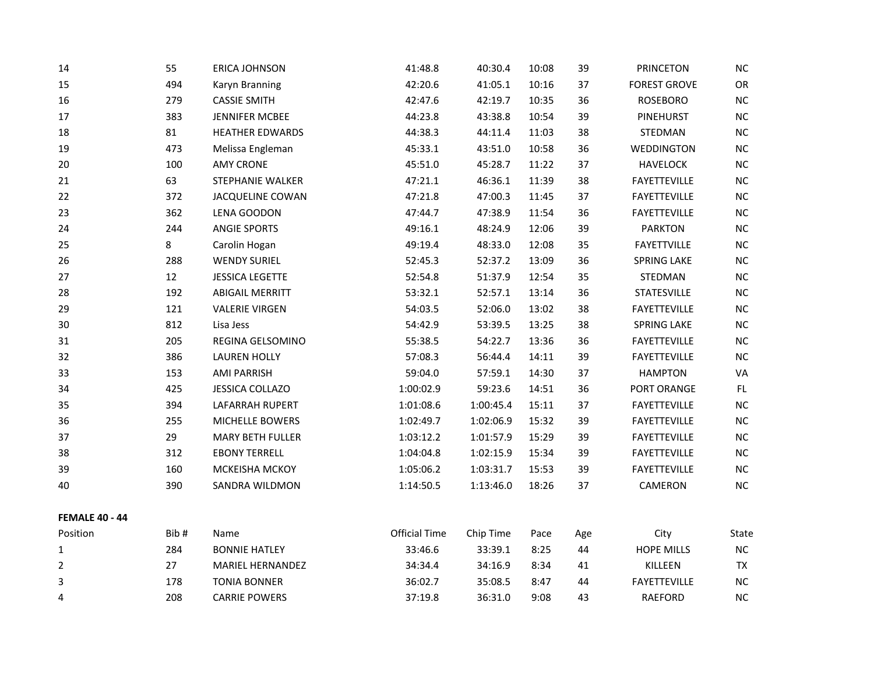| 14                    | 55   | <b>ERICA JOHNSON</b>    | 41:48.8              | 40:30.4   | 10:08 | 39  | <b>PRINCETON</b>    | NC        |
|-----------------------|------|-------------------------|----------------------|-----------|-------|-----|---------------------|-----------|
| 15                    | 494  | Karyn Branning          | 42:20.6              | 41:05.1   | 10:16 | 37  | <b>FOREST GROVE</b> | OR        |
| 16                    | 279  | <b>CASSIE SMITH</b>     | 42:47.6              | 42:19.7   | 10:35 | 36  | <b>ROSEBORO</b>     | $NC$      |
| 17                    | 383  | JENNIFER MCBEE          | 44:23.8              | 43:38.8   | 10:54 | 39  | <b>PINEHURST</b>    | $NC$      |
| 18                    | 81   | <b>HEATHER EDWARDS</b>  | 44:38.3              | 44:11.4   | 11:03 | 38  | STEDMAN             | NC        |
| 19                    | 473  | Melissa Engleman        | 45:33.1              | 43:51.0   | 10:58 | 36  | WEDDINGTON          | $NC$      |
| 20                    | 100  | <b>AMY CRONE</b>        | 45:51.0              | 45:28.7   | 11:22 | 37  | <b>HAVELOCK</b>     | $NC$      |
| 21                    | 63   | <b>STEPHANIE WALKER</b> | 47:21.1              | 46:36.1   | 11:39 | 38  | <b>FAYETTEVILLE</b> | $NC$      |
| 22                    | 372  | <b>JACQUELINE COWAN</b> | 47:21.8              | 47:00.3   | 11:45 | 37  | <b>FAYETTEVILLE</b> | <b>NC</b> |
| 23                    | 362  | LENA GOODON             | 47:44.7              | 47:38.9   | 11:54 | 36  | FAYETTEVILLE        | $NC$      |
| 24                    | 244  | <b>ANGIE SPORTS</b>     | 49:16.1              | 48:24.9   | 12:06 | 39  | <b>PARKTON</b>      | NC        |
| 25                    | 8    | Carolin Hogan           | 49:19.4              | 48:33.0   | 12:08 | 35  | <b>FAYETTVILLE</b>  | NC        |
| 26                    | 288  | <b>WENDY SURIEL</b>     | 52:45.3              | 52:37.2   | 13:09 | 36  | <b>SPRING LAKE</b>  | NC        |
| 27                    | 12   | <b>JESSICA LEGETTE</b>  | 52:54.8              | 51:37.9   | 12:54 | 35  | STEDMAN             | NC        |
| 28                    | 192  | <b>ABIGAIL MERRITT</b>  | 53:32.1              | 52:57.1   | 13:14 | 36  | <b>STATESVILLE</b>  | $NC$      |
| 29                    | 121  | <b>VALERIE VIRGEN</b>   | 54:03.5              | 52:06.0   | 13:02 | 38  | FAYETTEVILLE        | <b>NC</b> |
| 30                    | 812  | Lisa Jess               | 54:42.9              | 53:39.5   | 13:25 | 38  | <b>SPRING LAKE</b>  | $NC$      |
| 31                    | 205  | REGINA GELSOMINO        | 55:38.5              | 54:22.7   | 13:36 | 36  | FAYETTEVILLE        | $NC$      |
| 32                    | 386  | <b>LAUREN HOLLY</b>     | 57:08.3              | 56:44.4   | 14:11 | 39  | <b>FAYETTEVILLE</b> | NC        |
| 33                    | 153  | <b>AMI PARRISH</b>      | 59:04.0              | 57:59.1   | 14:30 | 37  | <b>HAMPTON</b>      | VA        |
| 34                    | 425  | JESSICA COLLAZO         | 1:00:02.9            | 59:23.6   | 14:51 | 36  | PORT ORANGE         | FL.       |
| 35                    | 394  | LAFARRAH RUPERT         | 1:01:08.6            | 1:00:45.4 | 15:11 | 37  | FAYETTEVILLE        | NC        |
| 36                    | 255  | MICHELLE BOWERS         | 1:02:49.7            | 1:02:06.9 | 15:32 | 39  | <b>FAYETTEVILLE</b> | NC        |
| 37                    | 29   | MARY BETH FULLER        | 1:03:12.2            | 1:01:57.9 | 15:29 | 39  | FAYETTEVILLE        | $NC$      |
| 38                    | 312  | <b>EBONY TERRELL</b>    | 1:04:04.8            | 1:02:15.9 | 15:34 | 39  | FAYETTEVILLE        | $NC$      |
| 39                    | 160  | MCKEISHA MCKOY          | 1:05:06.2            | 1:03:31.7 | 15:53 | 39  | <b>FAYETTEVILLE</b> | $NC$      |
| 40                    | 390  | SANDRA WILDMON          | 1:14:50.5            | 1:13:46.0 | 18:26 | 37  | CAMERON             | NC        |
| <b>FEMALE 40 - 44</b> |      |                         |                      |           |       |     |                     |           |
| Position              | Bib# | Name                    | <b>Official Time</b> | Chip Time | Pace  | Age | City                | State     |
| $\mathbf{1}$          | 284  | <b>BONNIE HATLEY</b>    | 33:46.6              | 33:39.1   | 8:25  | 44  | <b>HOPE MILLS</b>   | $NC$      |
| 2                     | 27   | MARIEL HERNANDEZ        | 34:34.4              | 34:16.9   | 8:34  | 41  | KILLEEN             | <b>TX</b> |
| 3                     | 178  | <b>TONIA BONNER</b>     | 36:02.7              | 35:08.5   | 8:47  | 44  | <b>FAYETTEVILLE</b> | NC        |

208 CARRIE POWERS 37:19.8 36:31.0 9:08 43 RAEFORD NC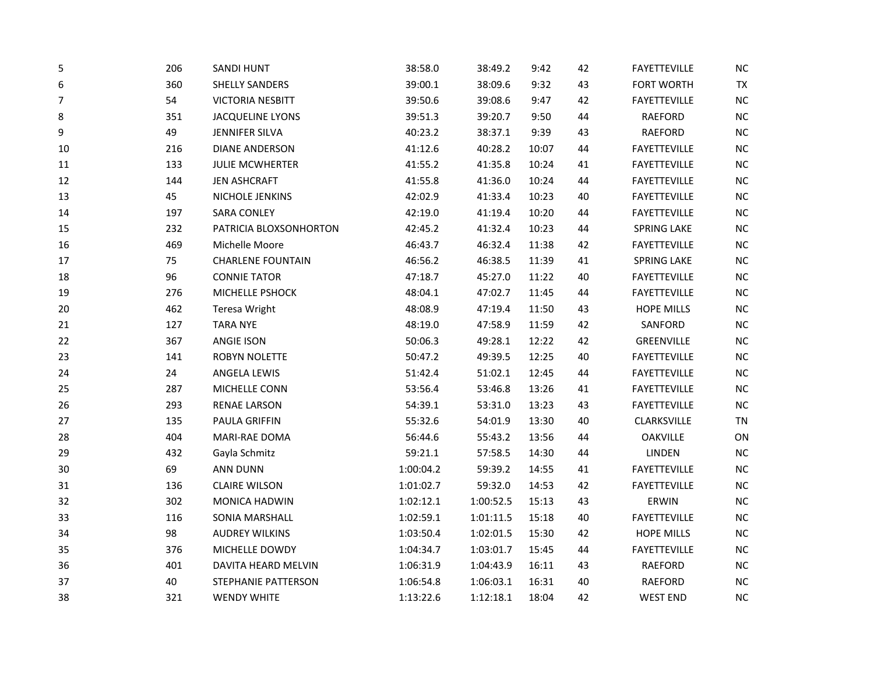| 5  | 206 | <b>SANDI HUNT</b>        | 38:58.0   | 38:49.2   | 9:42  | 42 | <b>FAYETTEVILLE</b> | $NC$      |
|----|-----|--------------------------|-----------|-----------|-------|----|---------------------|-----------|
| 6  | 360 | <b>SHELLY SANDERS</b>    | 39:00.1   | 38:09.6   | 9:32  | 43 | FORT WORTH          | <b>TX</b> |
| 7  | 54  | <b>VICTORIA NESBITT</b>  | 39:50.6   | 39:08.6   | 9:47  | 42 | <b>FAYETTEVILLE</b> | NC        |
| 8  | 351 | JACQUELINE LYONS         | 39:51.3   | 39:20.7   | 9:50  | 44 | RAEFORD             | NC        |
| 9  | 49  | <b>JENNIFER SILVA</b>    | 40:23.2   | 38:37.1   | 9:39  | 43 | <b>RAEFORD</b>      | <b>NC</b> |
| 10 | 216 | <b>DIANE ANDERSON</b>    | 41:12.6   | 40:28.2   | 10:07 | 44 | <b>FAYETTEVILLE</b> | NC        |
| 11 | 133 | <b>JULIE MCWHERTER</b>   | 41:55.2   | 41:35.8   | 10:24 | 41 | <b>FAYETTEVILLE</b> | NC        |
| 12 | 144 | <b>JEN ASHCRAFT</b>      | 41:55.8   | 41:36.0   | 10:24 | 44 | <b>FAYETTEVILLE</b> | NC        |
| 13 | 45  | NICHOLE JENKINS          | 42:02.9   | 41:33.4   | 10:23 | 40 | <b>FAYETTEVILLE</b> | NC        |
| 14 | 197 | <b>SARA CONLEY</b>       | 42:19.0   | 41:19.4   | 10:20 | 44 | <b>FAYETTEVILLE</b> | NC        |
| 15 | 232 | PATRICIA BLOXSONHORTON   | 42:45.2   | 41:32.4   | 10:23 | 44 | <b>SPRING LAKE</b>  | NC        |
| 16 | 469 | Michelle Moore           | 46:43.7   | 46:32.4   | 11:38 | 42 | <b>FAYETTEVILLE</b> | <b>NC</b> |
| 17 | 75  | <b>CHARLENE FOUNTAIN</b> | 46:56.2   | 46:38.5   | 11:39 | 41 | <b>SPRING LAKE</b>  | <b>NC</b> |
| 18 | 96  | <b>CONNIE TATOR</b>      | 47:18.7   | 45:27.0   | 11:22 | 40 | <b>FAYETTEVILLE</b> | NC        |
| 19 | 276 | MICHELLE PSHOCK          | 48:04.1   | 47:02.7   | 11:45 | 44 | <b>FAYETTEVILLE</b> | NC        |
| 20 | 462 | Teresa Wright            | 48:08.9   | 47:19.4   | 11:50 | 43 | <b>HOPE MILLS</b>   | $NC$      |
| 21 | 127 | <b>TARA NYE</b>          | 48:19.0   | 47:58.9   | 11:59 | 42 | SANFORD             | NC        |
| 22 | 367 | <b>ANGIE ISON</b>        | 50:06.3   | 49:28.1   | 12:22 | 42 | GREENVILLE          | NC        |
| 23 | 141 | ROBYN NOLETTE            | 50:47.2   | 49:39.5   | 12:25 | 40 | <b>FAYETTEVILLE</b> | NC        |
| 24 | 24  | ANGELA LEWIS             | 51:42.4   | 51:02.1   | 12:45 | 44 | <b>FAYETTEVILLE</b> | NC        |
| 25 | 287 | MICHELLE CONN            | 53:56.4   | 53:46.8   | 13:26 | 41 | <b>FAYETTEVILLE</b> | NC        |
| 26 | 293 | <b>RENAE LARSON</b>      | 54:39.1   | 53:31.0   | 13:23 | 43 | <b>FAYETTEVILLE</b> | NC        |
| 27 | 135 | PAULA GRIFFIN            | 55:32.6   | 54:01.9   | 13:30 | 40 | CLARKSVILLE         | <b>TN</b> |
| 28 | 404 | MARI-RAE DOMA            | 56:44.6   | 55:43.2   | 13:56 | 44 | <b>OAKVILLE</b>     | ON        |
| 29 | 432 | Gayla Schmitz            | 59:21.1   | 57:58.5   | 14:30 | 44 | LINDEN              | NC        |
| 30 | 69  | ANN DUNN                 | 1:00:04.2 | 59:39.2   | 14:55 | 41 | FAYETTEVILLE        | <b>NC</b> |
| 31 | 136 | <b>CLAIRE WILSON</b>     | 1:01:02.7 | 59:32.0   | 14:53 | 42 | <b>FAYETTEVILLE</b> | <b>NC</b> |
| 32 | 302 | MONICA HADWIN            | 1:02:12.1 | 1:00:52.5 | 15:13 | 43 | ERWIN               | NC        |
| 33 | 116 | SONIA MARSHALL           | 1:02:59.1 | 1:01:11.5 | 15:18 | 40 | <b>FAYETTEVILLE</b> | NC        |
| 34 | 98  | <b>AUDREY WILKINS</b>    | 1:03:50.4 | 1:02:01.5 | 15:30 | 42 | <b>HOPE MILLS</b>   | NC        |
| 35 | 376 | MICHELLE DOWDY           | 1:04:34.7 | 1:03:01.7 | 15:45 | 44 | <b>FAYETTEVILLE</b> | NC        |
| 36 | 401 | DAVITA HEARD MELVIN      | 1:06:31.9 | 1:04:43.9 | 16:11 | 43 | RAEFORD             | NC        |
| 37 | 40  | STEPHANIE PATTERSON      | 1:06:54.8 | 1:06:03.1 | 16:31 | 40 | RAEFORD             | $NC$      |
| 38 | 321 | <b>WENDY WHITE</b>       | 1:13:22.6 | 1:12:18.1 | 18:04 | 42 | <b>WEST END</b>     | NC        |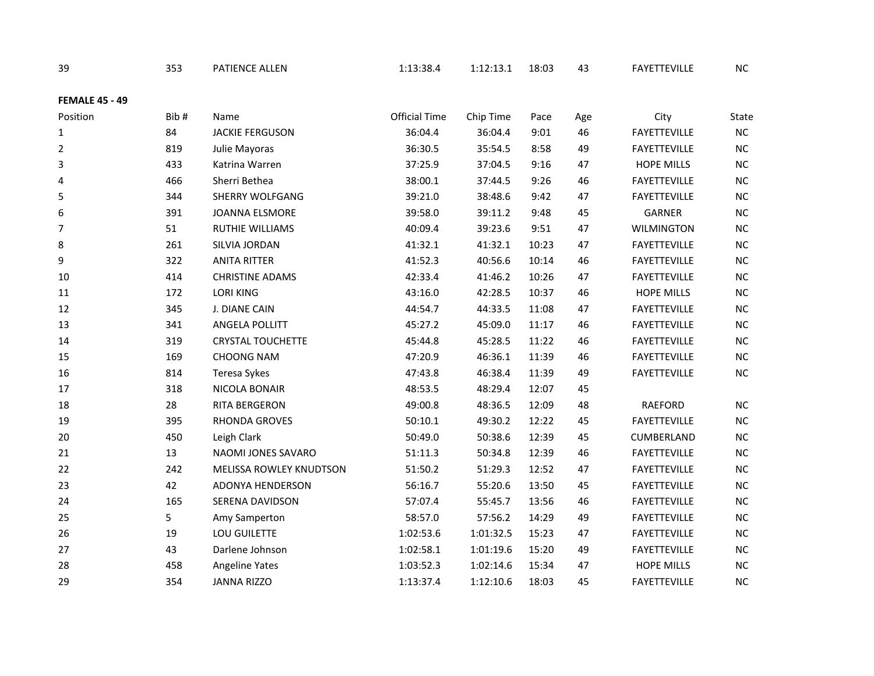| 39                    | 353  | PATIENCE ALLEN                 | 1:13:38.4            | 1:12:13.1 | 18:03 | 43  | FAYETTEVILLE        | <b>NC</b>    |
|-----------------------|------|--------------------------------|----------------------|-----------|-------|-----|---------------------|--------------|
| <b>FEMALE 45 - 49</b> |      |                                |                      |           |       |     |                     |              |
| Position              | Bib# | Name                           | <b>Official Time</b> | Chip Time | Pace  | Age | City                | <b>State</b> |
| $\mathbf{1}$          | 84   | <b>JACKIE FERGUSON</b>         | 36:04.4              | 36:04.4   | 9:01  | 46  | <b>FAYETTEVILLE</b> | NC           |
| 2                     | 819  | Julie Mayoras                  | 36:30.5              | 35:54.5   | 8:58  | 49  | <b>FAYETTEVILLE</b> | $NC$         |
| 3                     | 433  | Katrina Warren                 | 37:25.9              | 37:04.5   | 9:16  | 47  | <b>HOPE MILLS</b>   | NC           |
| 4                     | 466  | Sherri Bethea                  | 38:00.1              | 37:44.5   | 9:26  | 46  | <b>FAYETTEVILLE</b> | NC           |
| 5                     | 344  | <b>SHERRY WOLFGANG</b>         | 39:21.0              | 38:48.6   | 9:42  | 47  | FAYETTEVILLE        | NC           |
| 6                     | 391  | JOANNA ELSMORE                 | 39:58.0              | 39:11.2   | 9:48  | 45  | <b>GARNER</b>       | NC           |
| $\overline{7}$        | 51   | <b>RUTHIE WILLIAMS</b>         | 40:09.4              | 39:23.6   | 9:51  | 47  | <b>WILMINGTON</b>   | NC           |
| 8                     | 261  | SILVIA JORDAN                  | 41:32.1              | 41:32.1   | 10:23 | 47  | <b>FAYETTEVILLE</b> | NC           |
| 9                     | 322  | <b>ANITA RITTER</b>            | 41:52.3              | 40:56.6   | 10:14 | 46  | <b>FAYETTEVILLE</b> | $NC$         |
| 10                    | 414  | <b>CHRISTINE ADAMS</b>         | 42:33.4              | 41:46.2   | 10:26 | 47  | <b>FAYETTEVILLE</b> | NC           |
| 11                    | 172  | <b>LORI KING</b>               | 43:16.0              | 42:28.5   | 10:37 | 46  | <b>HOPE MILLS</b>   | NC           |
| 12                    | 345  | J. DIANE CAIN                  | 44:54.7              | 44:33.5   | 11:08 | 47  | <b>FAYETTEVILLE</b> | $NC$         |
| 13                    | 341  | ANGELA POLLITT                 | 45:27.2              | 45:09.0   | 11:17 | 46  | FAYETTEVILLE        | NC           |
| 14                    | 319  | <b>CRYSTAL TOUCHETTE</b>       | 45:44.8              | 45:28.5   | 11:22 | 46  | <b>FAYETTEVILLE</b> | NC           |
| 15                    | 169  | <b>CHOONG NAM</b>              | 47:20.9              | 46:36.1   | 11:39 | 46  | <b>FAYETTEVILLE</b> | $NC$         |
| 16                    | 814  | Teresa Sykes                   | 47:43.8              | 46:38.4   | 11:39 | 49  | <b>FAYETTEVILLE</b> | $NC$         |
| 17                    | 318  | NICOLA BONAIR                  | 48:53.5              | 48:29.4   | 12:07 | 45  |                     |              |
| 18                    | 28   | RITA BERGERON                  | 49:00.8              | 48:36.5   | 12:09 | 48  | RAEFORD             | NC           |
| 19                    | 395  | RHONDA GROVES                  | 50:10.1              | 49:30.2   | 12:22 | 45  | <b>FAYETTEVILLE</b> | NC           |
| 20                    | 450  | Leigh Clark                    | 50:49.0              | 50:38.6   | 12:39 | 45  | CUMBERLAND          | NC           |
| 21                    | 13   | NAOMI JONES SAVARO             | 51:11.3              | 50:34.8   | 12:39 | 46  | <b>FAYETTEVILLE</b> | NC           |
| 22                    | 242  | <b>MELISSA ROWLEY KNUDTSON</b> | 51:50.2              | 51:29.3   | 12:52 | 47  | <b>FAYETTEVILLE</b> | $NC$         |
| 23                    | 42   | ADONYA HENDERSON               | 56:16.7              | 55:20.6   | 13:50 | 45  | FAYETTEVILLE        | NC           |
| 24                    | 165  | SERENA DAVIDSON                | 57:07.4              | 55:45.7   | 13:56 | 46  | <b>FAYETTEVILLE</b> | NC           |
| 25                    | 5    | Amy Samperton                  | 58:57.0              | 57:56.2   | 14:29 | 49  | <b>FAYETTEVILLE</b> | $NC$         |
| 26                    | 19   | LOU GUILETTE                   | 1:02:53.6            | 1:01:32.5 | 15:23 | 47  | <b>FAYETTEVILLE</b> | NC           |
| 27                    | 43   | Darlene Johnson                | 1:02:58.1            | 1:01:19.6 | 15:20 | 49  | FAYETTEVILLE        | $NC$         |
| 28                    | 458  | Angeline Yates                 | 1:03:52.3            | 1:02:14.6 | 15:34 | 47  | <b>HOPE MILLS</b>   | NC           |
| 29                    | 354  | <b>JANNA RIZZO</b>             | 1:13:37.4            | 1:12:10.6 | 18:03 | 45  | <b>FAYETTEVILLE</b> | NC           |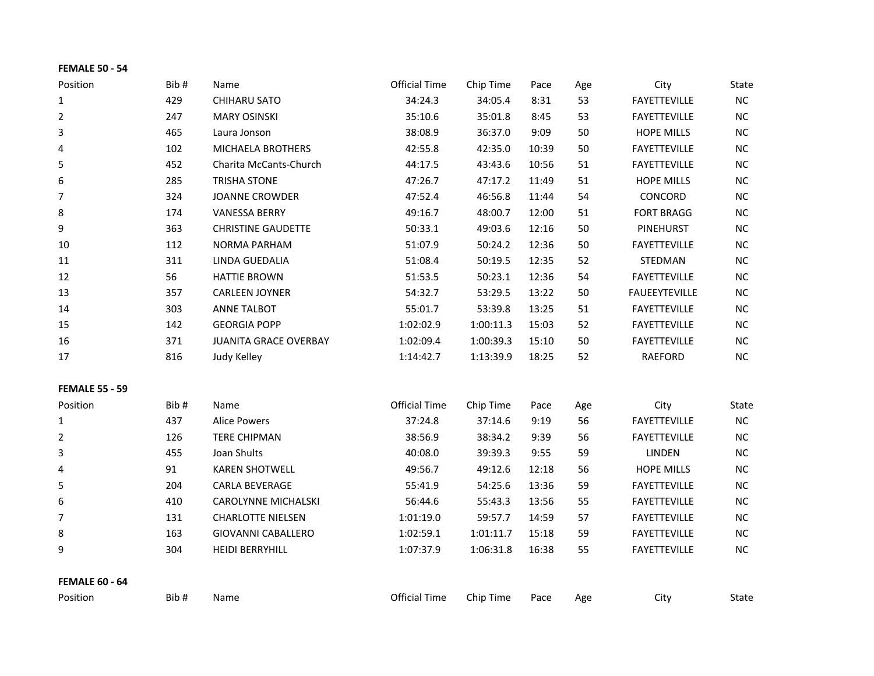## **FEMALE 50 - 54**

| Position              | Bib# | Name                         | Official Time        | Chip Time | Pace  | Age | City                 | State     |
|-----------------------|------|------------------------------|----------------------|-----------|-------|-----|----------------------|-----------|
| 1                     | 429  | CHIHARU SATO                 | 34:24.3              | 34:05.4   | 8:31  | 53  | <b>FAYETTEVILLE</b>  | NC        |
| 2                     | 247  | <b>MARY OSINSKI</b>          | 35:10.6              | 35:01.8   | 8:45  | 53  | <b>FAYETTEVILLE</b>  | NC.       |
| 3                     | 465  | Laura Jonson                 | 38:08.9              | 36:37.0   | 9:09  | 50  | <b>HOPE MILLS</b>    | <b>NC</b> |
| 4                     | 102  | <b>MICHAELA BROTHERS</b>     | 42:55.8              | 42:35.0   | 10:39 | 50  | <b>FAYETTEVILLE</b>  | <b>NC</b> |
| 5                     | 452  | Charita McCants-Church       | 44:17.5              | 43:43.6   | 10:56 | 51  | <b>FAYETTEVILLE</b>  | NC        |
| 6                     | 285  | <b>TRISHA STONE</b>          | 47:26.7              | 47:17.2   | 11:49 | 51  | <b>HOPE MILLS</b>    | <b>NC</b> |
| 7                     | 324  | <b>JOANNE CROWDER</b>        | 47:52.4              | 46:56.8   | 11:44 | 54  | <b>CONCORD</b>       | <b>NC</b> |
| 8                     | 174  | <b>VANESSA BERRY</b>         | 49:16.7              | 48:00.7   | 12:00 | 51  | <b>FORT BRAGG</b>    | NC        |
| 9                     | 363  | <b>CHRISTINE GAUDETTE</b>    | 50:33.1              | 49:03.6   | 12:16 | 50  | <b>PINEHURST</b>     | <b>NC</b> |
| 10                    | 112  | <b>NORMA PARHAM</b>          | 51:07.9              | 50:24.2   | 12:36 | 50  | <b>FAYETTEVILLE</b>  | <b>NC</b> |
| 11                    | 311  | LINDA GUEDALIA               | 51:08.4              | 50:19.5   | 12:35 | 52  | STEDMAN              | <b>NC</b> |
| 12                    | 56   | <b>HATTIE BROWN</b>          | 51:53.5              | 50:23.1   | 12:36 | 54  | <b>FAYETTEVILLE</b>  | NC        |
| 13                    | 357  | <b>CARLEEN JOYNER</b>        | 54:32.7              | 53:29.5   | 13:22 | 50  | <b>FAUEEYTEVILLE</b> | <b>NC</b> |
| 14                    | 303  | <b>ANNE TALBOT</b>           | 55:01.7              | 53:39.8   | 13:25 | 51  | <b>FAYETTEVILLE</b>  | <b>NC</b> |
| 15                    | 142  | <b>GEORGIA POPP</b>          | 1:02:02.9            | 1:00:11.3 | 15:03 | 52  | <b>FAYETTEVILLE</b>  | <b>NC</b> |
| 16                    | 371  | <b>JUANITA GRACE OVERBAY</b> | 1:02:09.4            | 1:00:39.3 | 15:10 | 50  | <b>FAYETTEVILLE</b>  | NC        |
| 17                    | 816  | Judy Kelley                  | 1:14:42.7            | 1:13:39.9 | 18:25 | 52  | RAEFORD              | NC.       |
| <b>FEMALE 55 - 59</b> |      |                              |                      |           |       |     |                      |           |
| Position              | Bib# | Name                         | <b>Official Time</b> | Chip Time | Pace  | Age | City                 | State     |

| ווטווונט ו | חו ש | 1901116                    | סווונוסו ווווכ | סווווע שוווכ | ιαιτ  | ngc | ULV                 | uuu       |
|------------|------|----------------------------|----------------|--------------|-------|-----|---------------------|-----------|
|            | 437  | Alice Powers               | 37:24.8        | 37:14.6      | 9:19  | 56  | <b>FAYETTEVILLE</b> | NC.       |
| 2          | 126  | <b>TERE CHIPMAN</b>        | 38:56.9        | 38:34.2      | 9:39  | 56  | <b>FAYETTEVILLE</b> | <b>NC</b> |
| 3          | 455  | Joan Shults                | 40:08.0        | 39:39.3      | 9:55  | 59  | <b>LINDEN</b>       | <b>NC</b> |
| 4          | 91   | <b>KAREN SHOTWELL</b>      | 49:56.7        | 49:12.6      | 12:18 | 56  | <b>HOPE MILLS</b>   | <b>NC</b> |
| 5          | 204  | <b>CARLA BEVERAGE</b>      | 55:41.9        | 54:25.6      | 13:36 | 59  | <b>FAYETTEVILLE</b> | <b>NC</b> |
| 6          | 410  | <b>CAROLYNNE MICHALSKI</b> | 56:44.6        | 55:43.3      | 13:56 | 55  | <b>FAYETTEVILLE</b> | <b>NC</b> |
| 7          | 131  | <b>CHARLOTTE NIELSEN</b>   | 1:01:19.0      | 59:57.7      | 14:59 | 57  | <b>FAYETTEVILLE</b> | <b>NC</b> |
| 8          | 163  | <b>GIOVANNI CABALLERO</b>  | 1:02:59.1      | 1:01:11.7    | 15:18 | 59  | <b>FAYETTEVILLE</b> | <b>NC</b> |
| 9          | 304  | <b>HEIDI BERRYHILL</b>     | 1:07:37.9      | 1:06:31.8    | 16:38 | 55  | <b>FAYETTEVILLE</b> | <b>NC</b> |
|            |      |                            |                |              |       |     |                     |           |

**FEMALE 60 - 64**

| Position | Bib # | Name | Official<br>Time | Chip<br>ïme | Pace | Age | €it∨ | State |
|----------|-------|------|------------------|-------------|------|-----|------|-------|
|----------|-------|------|------------------|-------------|------|-----|------|-------|